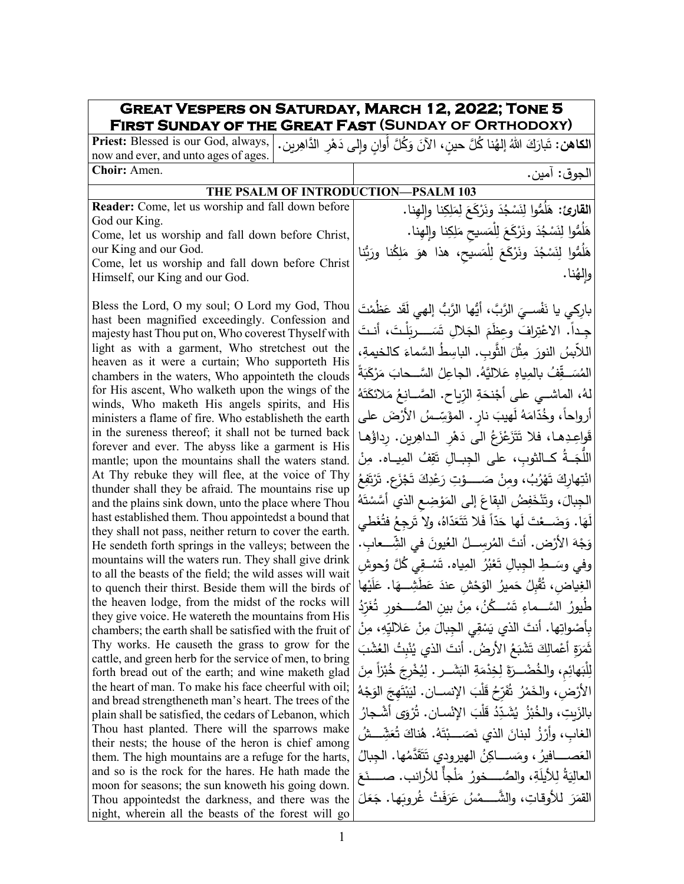## **Great Vespers on Saturday, March 12, 2022; Tone 5 First Sunday of the Great Fast (Sunday of Orthodoxy)**

Priest: Blessed is our God, always, المكاهن: تَبارَكَ اللهُ إلهُنا كُلَّ حينٍ، الآنَ وَكُلَّ أَوانٍ وإِلى دَهْرِ الذَّاهِرين.<br>now and ever, and unto ages of ages. I <u>ا</u>

| Choir: Amen.                                                                                                                                                                                                                                                                                                                                                                                                                                                                                                                                                                                                                                                                                                                                                                                                                                                                                                                                                                                                                                                                                                                                                                                                                                                                                                                                                                                                                                                                                                                                                                                                                                                                                                                                                 | الجوق: أمين.                                                                                                                                                                                                                                                                                                                                                                                                                                                                                                                                                                                                                                                                                                                                                                                                                                                                                                                                                                                                                                                                                                                                                                                                                                                                                                                                                                                                                                                                             |
|--------------------------------------------------------------------------------------------------------------------------------------------------------------------------------------------------------------------------------------------------------------------------------------------------------------------------------------------------------------------------------------------------------------------------------------------------------------------------------------------------------------------------------------------------------------------------------------------------------------------------------------------------------------------------------------------------------------------------------------------------------------------------------------------------------------------------------------------------------------------------------------------------------------------------------------------------------------------------------------------------------------------------------------------------------------------------------------------------------------------------------------------------------------------------------------------------------------------------------------------------------------------------------------------------------------------------------------------------------------------------------------------------------------------------------------------------------------------------------------------------------------------------------------------------------------------------------------------------------------------------------------------------------------------------------------------------------------------------------------------------------------|------------------------------------------------------------------------------------------------------------------------------------------------------------------------------------------------------------------------------------------------------------------------------------------------------------------------------------------------------------------------------------------------------------------------------------------------------------------------------------------------------------------------------------------------------------------------------------------------------------------------------------------------------------------------------------------------------------------------------------------------------------------------------------------------------------------------------------------------------------------------------------------------------------------------------------------------------------------------------------------------------------------------------------------------------------------------------------------------------------------------------------------------------------------------------------------------------------------------------------------------------------------------------------------------------------------------------------------------------------------------------------------------------------------------------------------------------------------------------------------|
| THE PSALM OF INTRODUCTION-PSALM 103                                                                                                                                                                                                                                                                                                                                                                                                                                                                                                                                                                                                                                                                                                                                                                                                                                                                                                                                                                                                                                                                                                                                                                                                                                                                                                                                                                                                                                                                                                                                                                                                                                                                                                                          |                                                                                                                                                                                                                                                                                                                                                                                                                                                                                                                                                                                                                                                                                                                                                                                                                                                                                                                                                                                                                                                                                                                                                                                                                                                                                                                                                                                                                                                                                          |
| Reader: Come, let us worship and fall down before<br>God our King.<br>Come, let us worship and fall down before Christ,<br>our King and our God.<br>Come, let us worship and fall down before Christ<br>Himself, our King and our God.                                                                                                                                                                                                                                                                                                                                                                                                                                                                                                                                                                                                                                                                                                                                                                                                                                                                                                                                                                                                                                                                                                                                                                                                                                                                                                                                                                                                                                                                                                                       | القارئ: هَلَمُّوا لِنَسْجُدَ ونَرْكَعَ لِمَلِكِنا وإلهِنا.<br>هَلَمُّوا لِنَسْجُدَ ونَرْكَعَ لِلْمَسيحِ مَلِكِنا وإلهِنا.<br>هَلَمُّوا لِنَسْجُدَ ونَرْكَعَ لِلْمَسيح، هذا هوَ مَلِكُنا ورَبُّنا<br>وإلهُنا.                                                                                                                                                                                                                                                                                                                                                                                                                                                                                                                                                                                                                                                                                                                                                                                                                                                                                                                                                                                                                                                                                                                                                                                                                                                                             |
| Bless the Lord, O my soul; O Lord my God, Thou<br>hast been magnified exceedingly. Confession and<br>majesty hast Thou put on, Who coverest Thyself with<br>light as with a garment, Who stretchest out the<br>heaven as it were a curtain; Who supporteth His<br>chambers in the waters, Who appointeth the clouds<br>for His ascent, Who walketh upon the wings of the<br>winds, Who maketh His angels spirits, and His<br>ministers a flame of fire. Who establisheth the earth<br>in the sureness thereof; it shall not be turned back<br>forever and ever. The abyss like a garment is His<br>mantle; upon the mountains shall the waters stand.<br>At Thy rebuke they will flee, at the voice of Thy<br>thunder shall they be afraid. The mountains rise up<br>and the plains sink down, unto the place where Thou<br>hast established them. Thou appointedst a bound that<br>they shall not pass, neither return to cover the earth.<br>He sendeth forth springs in the valleys; between the<br>mountains will the waters run. They shall give drink<br>to all the beasts of the field; the wild asses will wait<br>to quench their thirst. Beside them will the birds of<br>the heaven lodge, from the midst of the rocks will<br>they give voice. He watereth the mountains from His<br>chambers; the earth shall be satisfied with the fruit of<br>Thy works. He causeth the grass to grow for the<br>cattle, and green herb for the service of men, to bring<br>forth bread out of the earth; and wine maketh glad<br>the heart of man. To make his face cheerful with oil;<br>and bread strengtheneth man's heart. The trees of the<br>plain shall be satisfied, the cedars of Lebanon, which<br>Thou hast planted. There will the sparrows make | باركي يا نَفْســيَ الرَّبَّ، أَيُّها الزَّبُّ إلهي لَقَد عَظُمْتَ<br>جِداً. الاعْتِرافَ وعِظَمَ الجَلالِ تَسَــــريَلْتَ، أنتَ<br>اللأبسُ النورَ مِثْلَ الثَّوبِ. الباسِطُ السَّماءَ كالخيمةِ،<br>المُسَــقِّفُ بالمِياهِ عَلاليَّهُ. الجاعِلُ السَّــحابَ مَرْكَبَةً<br>لهُ، الماشــي على أَجْنحَةِ الرّبِاحِ. الصَّــانِعُ مَلائكَتَهُ<br>أرواحاً، وخُدّامَهُ لَهيبَ نار . المؤَسِّسُ الأَرْضَ على<br>قَواعِدِهـا، فلا تَتَزَعْزَعُ الى دَهْرِ الـداهِرِينِ. رِداؤُهـا<br>اللَّجَــةُ كــالثوب، على الـجبــالِ تَقِفُ المِيــاه. مِنْ<br>انْتِهاركَ تَهْرُبُ، ومنْ صَـــــوْتِ رَعْدِكَ تَجْزَعٍ. تَرْتَفِعُ<br>الْجِبالَ، وتَنْخَفِضُ الْبِقَاعَ إِلَى الْمَوْضِعِ الَّذِي أَسَّسْتَهُ<br>لَهَا. وَضَـــعْتَ لَها حَدّاً فَلا تَتَعَدّاهُ، ولا تَرجِعُ فتُغَطى<br>وَجْهَ الأَرْضِ. أَنتَ المُرسِـــلُ الْعُيونَ في الشِّـــعابِ.<br>وفي وسَــطِ الجِبالِ تَعْبُرُ  المِياه. تَسْــقِي كُلَّ وُحوش<br>الغِياض، ثُقْبِلُ حَميرُ  الوَحْشِ عندَ  عَطَشِـــهَا.  عَلَيْها<br>طُيورُ السَّـــماءِ تَسْـــكُنُ، مِنْ بين الصُــــخور تُغَرّدُ<br>بِأَصْواتِها. أنتَ الذي يَسْقِي الْجِبالَ مِنْ عَلاليِّهِ، مِنْ<br>ثَمَرَةِ أَعْمالِكَ تَشْبَعُ الأرضُ. أنتَ الذي يُنْبِتُ العُشْبَ<br>لِلْبَهائِمِ، والخُضْــرَةَ لِخِدْمَةِ النَشَــرِ . لِيُخْرِجَ خُبْزاً مِنَ<br>الأرْض، والخَمْرُ ۖ ثُفَرِّحُ قَلْبَ الإنســانِ. ليَبْتَهجَ الوَجْهُ<br>بالزَبِتِ، والخُبْزُ يُشَدِّدُ قَلْبَ الإِنْسانِ. تُرْوَى أشْجارُ<br>الْغَابِ، وَأَرْزُ لَبْنَانَ الَّذِي نَصَـــبْتَهُ. هُناكَ تُعَشِّـــشُ |
| their nests; the house of the heron is chief among<br>them. The high mountains are a refuge for the harts,<br>and so is the rock for the hares. He hath made the<br>moon for seasons; the sun knoweth his going down.<br>Thou appointedst the darkness, and there was the                                                                                                                                                                                                                                                                                                                                                                                                                                                                                                                                                                                                                                                                                                                                                                                                                                                                                                                                                                                                                                                                                                                                                                                                                                                                                                                                                                                                                                                                                    | العَصــــافيرُ ، ومَســــاكِنُ الـهيرودي تَتَقَدَّمُها. الـجبالُ<br>العاليَةُ لِلأَيلَةِ، والصُّــــخورُ مَلْجاً للأَرانب. صـــــنَعَ<br>القَّقَرَ للأَوقاتِ، والشَّـــــمْسُ عَرَفَتْ غُروبَها. جَعَلَ                                                                                                                                                                                                                                                                                                                                                                                                                                                                                                                                                                                                                                                                                                                                                                                                                                                                                                                                                                                                                                                                                                                                                                                                                                                                                  |
| night whomain all the heagts of the forest will                                                                                                                                                                                                                                                                                                                                                                                                                                                                                                                                                                                                                                                                                                                                                                                                                                                                                                                                                                                                                                                                                                                                                                                                                                                                                                                                                                                                                                                                                                                                                                                                                                                                                                              |                                                                                                                                                                                                                                                                                                                                                                                                                                                                                                                                                                                                                                                                                                                                                                                                                                                                                                                                                                                                                                                                                                                                                                                                                                                                                                                                                                                                                                                                                          |

night, wherein all the beasts of the forest will go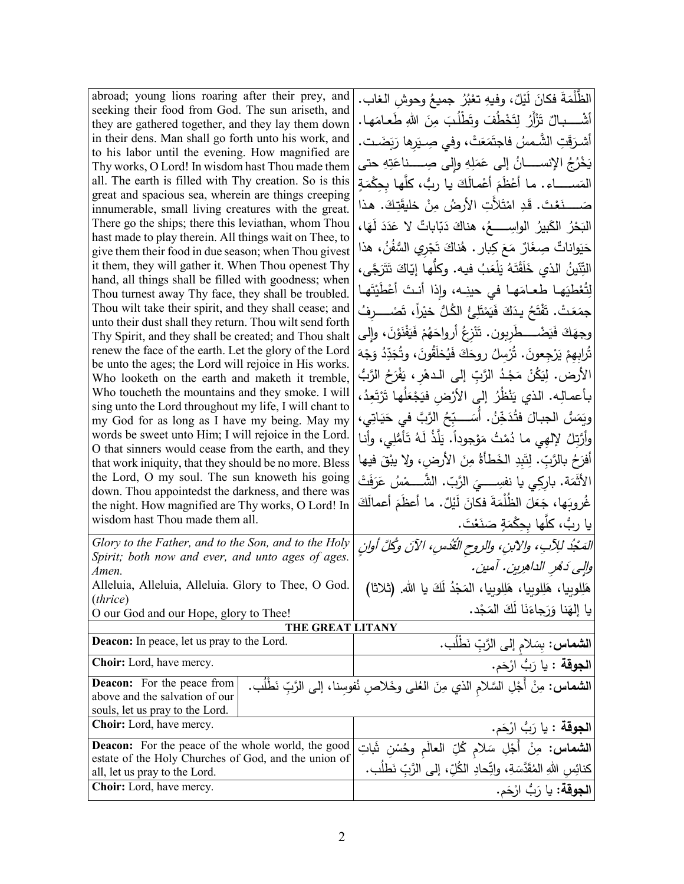| abroad; young lions roaring after their prey, and                                                               | الظُّلْمَةَ فكانَ لَيْلٌ، وفيهِ تعْبُرُ  جميعُ وحوشِ الـغاب.                                         |
|-----------------------------------------------------------------------------------------------------------------|------------------------------------------------------------------------------------------------------|
| seeking their food from God. The sun ariseth, and<br>they are gathered together, and they lay them down         | أشْــــــبالٌ تَزْأَرُ لِتَخْطُفَ وتَطْلَبَ مِنَ اللهِ طَعـامَهـا.                                   |
| in their dens. Man shall go forth unto his work, and                                                            | أشرَقَتِ الشَّمسُ فاجتَمَعَتْ، وفي صِـيَرِها رَبَضَـت.                                               |
| to his labor until the evening. How magnified are                                                               | يَخْرُجُ الإِنســـــانُ إِلَى عَمَلِهِ وإِلى صِـــــناعَتِهِ حتى                                     |
| Thy works, O Lord! In wisdom hast Thou made them<br>all. The earth is filled with Thy creation. So is this      | المَســــــاء . مـا أَعْظَمَ أَعْمـالَكَ يـا ربُّ، كلَّهـا بـحِكْمَةٍ                                |
| great and spacious sea, wherein are things creeping                                                             |                                                                                                      |
| innumerable, small living creatures with the great.                                                             | صَــــــنَعْتَ. قَدِ امْتَلأَتِ الأَرضُ مِنْ خَليقَتِكَ. هذا                                         |
| There go the ships; there this leviathan, whom Thou<br>hast made to play therein. All things wait on Thee, to   | البَحْرُ الكَبِيرُ الواسِـــــعُ، هناكَ دَبّاباتٌ لا عَدَدَ لَهَا،                                   |
| give them their food in due season; when Thou givest                                                            | حَيَواناتٌ صِغَارٌ مَعَ كِبارٍ . هُناكَ تَجْرِي السُّفُنُ، هذا                                       |
| it them, they will gather it. When Thou openest Thy                                                             | التِّنّينُ الذي خَلَقْتَهُ يَلْعَبُ فيه. وكلّها إيّاكَ تَتَرَجَّى،                                   |
| hand, all things shall be filled with goodness; when<br>Thou turnest away Thy face, they shall be troubled.     | لِتُعْطِيَهِا طعامَها في حينِه، وإذا أنتَ أَعْطَيْتَها                                               |
| Thou wilt take their spirit, and they shall cease; and                                                          | جمَعَتْ. تَفْتَحُ يدَكَ فَيَمْتَلِئُ الكُلُّ خيْراً، تَصْـــــرفُ                                    |
| unto their dust shall they return. Thou wilt send forth                                                         | وجهَكَ فَيَضْــــطّْرِبون. تَنْزِعُ أَرواحَهُمْ فَيَفْنَوْنَ، وإلى                                   |
| Thy Spirit, and they shall be created; and Thou shalt<br>renew the face of the earth. Let the glory of the Lord | تُرابِهِمْ يَرْجِعونَ. تُرْسِلُ روحَكَ فَيُخلَقُونَ، وتُجَدِّدُ وَجْهَ                               |
| be unto the ages; the Lord will rejoice in His works.                                                           |                                                                                                      |
| Who looketh on the earth and maketh it tremble,                                                                 | الأرض. لِيَكُنْ مَجْدُ الرَّبِّ إِلَى الدهْرِ ، يَفْرَحُ الرَّبُّ                                    |
| Who toucheth the mountains and they smoke. I will<br>sing unto the Lord throughout my life, I will chant to     | بأعمالِه. الذي يَنْظُرُ إلى الأَرْضِ فيَجْعَلُها تَرْتَعِدُ،                                         |
| my God for as long as I have my being. May my                                                                   | ويَمَسُّ الجبـالَ فَتُدَخِّنُ. أَسَـــبِّحُ الرَّبَّ في حَيَـاتِي،                                   |
| words be sweet unto Him; I will rejoice in the Lord.                                                            | وأَرَّتِلُ لِإلهِي ما دُمْتُ مَوْجوداً. يَلَّذُ لَهُ تَأْمُلِي، وأنا                                 |
| O that sinners would cease from the earth, and they<br>that work iniquity, that they should be no more. Bless   | أَفْرَحُ بِالرَّبِّ. لِتَبِدِ الْخَطَأَةُ مِنَ الأَرضِ، ولا يبْقَ فيها                               |
| the Lord, O my soul. The sun knoweth his going                                                                  | الأَثْمَة. بارِكِي يا نفسِــــيَ الرَّبّ. الشَّــــمْسُ عَرَفَتْ                                     |
| down. Thou appointedst the darkness, and there was                                                              | غُروبَها، جَعَلَ الظُلْمَةَ فكانَ لَيْلٌ. ما أعظَمَ أعمالَكَ                                         |
| the night. How magnified are Thy works, O Lord! In<br>wisdom hast Thou made them all.                           | يا ربُّ، كلَّها بِحِكْمَةٍ صَنَعْتَ.                                                                 |
| Glory to the Father, and to the Son, and to the Holy                                                            |                                                                                                      |
| Spirit; both now and ever, and unto ages of ages.                                                               | المَجْدُ للِآبِ، والآبنِ، والروحِ الْقُدُسِ، الآنَ وكُلَّ أُوانِ                                     |
| Amen.                                                                                                           | والِي دَهُرِ الداهِرِينِ. آمينِ.                                                                     |
| Alleluia, Alleluia, Alleluia. Glory to Thee, O God.<br><i>(thrice)</i>                                          | هَلِلوبِيا، هَلِلوبِيا، هَلِلوبِيا، المَجْدُ لَكَ يا الله. (ثلاثا)                                   |
| O our God and our Hope, glory to Thee!                                                                          | يا إلهَنا وَرَجاءَنَا لَكَ المَجْد.                                                                  |
| THE GREAT LITANY                                                                                                |                                                                                                      |
| <b>Deacon:</b> In peace, let us pray to the Lord.                                                               | ا <b>لشماس:</b> بِسَلامِ إلى الرَّبِّ نَطْلُب.                                                       |
| Choir: Lord, have mercy.                                                                                        | ا <b>لجوقة :</b> يا رَبُّ ارْحَم.                                                                    |
| <b>Deacon:</b> For the peace from                                                                               | <b>الشماس:</b> مِنْ أَجْلِ السَّلام الذي مِنَ العُلى وخَلاصٍ نُفوسنا، إلى الرَّبِّ نَطْلُب.          |
| above and the salvation of our<br>souls, let us pray to the Lord.                                               |                                                                                                      |
| Choir: Lord, have mercy.                                                                                        |                                                                                                      |
| <b>Deacon:</b> For the peace of the whole world, the good                                                       | ا <b>لجوقة :</b> يا رَبُّ ارْحَم.<br>ا <b>لشماس:</b> مِنْ أَجْلِ سَلامٍ كُلِّ العالَمِ وحُسْنِ شَاتِ |
| estate of the Holy Churches of God, and the union of<br>all, let us pray to the Lord.                           | كنائِسِ اللهِ المُقَدَّسَةِ، واتِّحادِ الكُلِّ، إلى الرَّبِّ نَطلُب.                                 |
| Choir: Lord, have mercy.                                                                                        | ا <b>لجوقة:</b> يا رَبُّ ارْحَم.                                                                     |
|                                                                                                                 |                                                                                                      |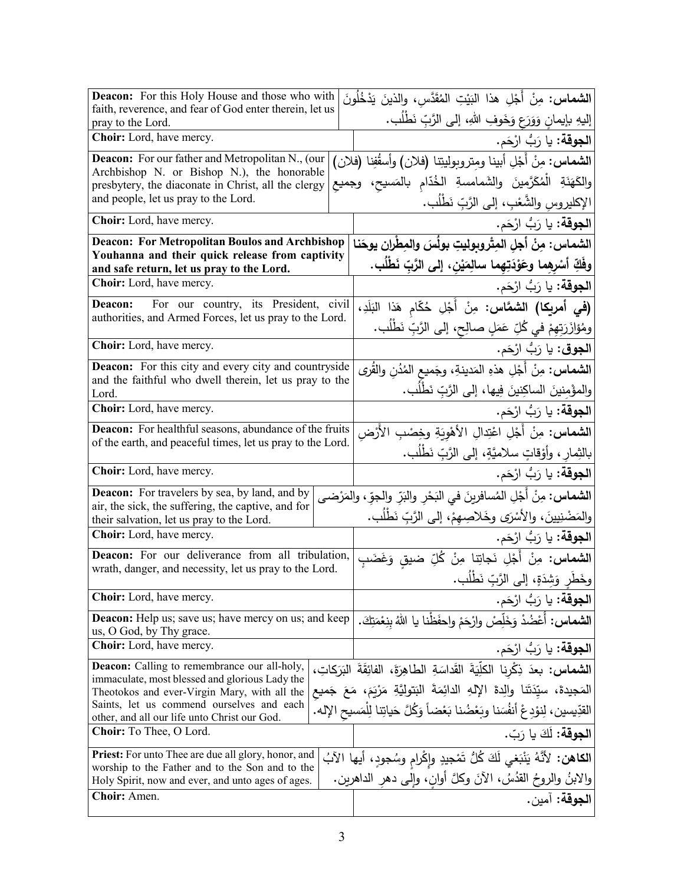| <b>Deacon:</b> For this Holy House and those who with                                                 | ا <b>لشماس:</b> مِنْ أَجْلِ هذا النَيْتِ المُقَدَّس، والذينَ يَدْخُلُونَ            |
|-------------------------------------------------------------------------------------------------------|-------------------------------------------------------------------------------------|
| faith, reverence, and fear of God enter therein, let us<br>pray to the Lord.                          | إليهِ بإيمانِ وَوَرَعٍ وَخَوفِ اللهِ، إلى الرَّبِّ نَطْلَبٍ.                        |
| Choir: Lord, have mercy.                                                                              | ا <b>لجوقة:</b> يا رَبُّ ارْحَم.                                                    |
| <b>Deacon:</b> For our father and Metropolitan N., (our                                               | الشمعاس: مِنْ أَجْلِ أبينا ومِتروبوليتِنا (فلان) وأسقُفِنا (فلان)                   |
| Archbishop N. or Bishop N.), the honorable                                                            | والكَهَنَةِ الْمُكَرَّمينَ والشَمامسةِ الخُدّام بالمَسيح، وجميع                     |
| presbytery, the diaconate in Christ, all the clergy<br>and people, let us pray to the Lord.           | الإكليروسِ والشَّعْبِ، إلى الرَّبِّ نَطْلُب.                                        |
| Choir: Lord, have mercy.                                                                              | ا <b>لجوقة:</b> يا رَبُّ ارْحَم.                                                    |
| <b>Deacon: For Metropolitan Boulos and Archbishop</b>                                                 | الشماس: مِنْ أجلِ المِتْروبوليتِ بولُسَ والمِطْرانِ يوحَنا                          |
| Youhanna and their quick release from captivity<br>and safe return, let us pray to the Lord.          | وفَكِّ أَسْرِهِما وعَوْدَتِهِما سالِمَيْنِ، إلى الرَّبِّ نَطْلُبٍ.                  |
| Choir: Lord, have mercy.                                                                              | <b>الجوقة:</b> يا رَبُّ ارْحَم.                                                     |
| For our country, its President, civil<br>Deacon:                                                      | (في أمريكا) الشعَّاس: مِنْ أَجْلِ حُكّام هَذا البَلَدِ،                             |
| authorities, and Armed Forces, let us pray to the Lord.                                               | ومُؤازَرَتِهِمْ في كُلِّ عَمَلٍ صالِحٍ، إلى الرَّبِّ نَطْلُب.                       |
| Choir: Lord, have mercy.                                                                              | ا <b>لجوق:</b> يا رَبُّ ارْحَم.                                                     |
| <b>Deacon:</b> For this city and every city and countryside                                           | ا <b>لشماس:</b> مِنْ أَجْلِ هذهِ المَدينةِ، وجَميع المُدُن والقُرى                  |
| and the faithful who dwell therein, let us pray to the<br>Lord.                                       | والمؤْمِنينَ الساكِنينَ فِيها، إلى الرَّبِّ نَطْلُبٍ.                               |
| Choir: Lord, have mercy.                                                                              | ا <b>لجوقة:</b> يا رَبُّ ارْحَم.                                                    |
| <b>Deacon:</b> For healthful seasons, abundance of the fruits                                         | ا <b>لشماس:</b> مِنْ أَجْلِ اعْتِدالِ الأهْوِيَةِ وخِصْبِ الأَزْ <u>ص</u> َ         |
| of the earth, and peaceful times, let us pray to the Lord.                                            | بالثِمارِ ، وأَوْقاتٍ سلاميَّةٍ، إلى الرَّبِّ نَطْلُبٍ.                             |
| Choir: Lord, have mercy.                                                                              | ا <b>لجوقة:</b> يا رَبُّ ارْحَم.                                                    |
| <b>Deacon:</b> For travelers by sea, by land, and by                                                  | ا <b>لشماس:</b> مِنْ أَجْلِ المُسافرينَ في البَحْرِ والبَرِّ والجوِّ ، والمَرْضى    |
| air, the sick, the suffering, the captive, and for<br>their salvation, let us pray to the Lord.       | والمَضْنِيينَ، والأَسْرَى وخَلاصِهِمْ، إلى الرَّبِّ نَطْلُب.                        |
| <b>Choir:</b> Lord, have mercy.                                                                       | ا <b>لجوقة:</b> يا رَبُّ ارْحَم.                                                    |
| Deacon: For our deliverance from all tribulation,                                                     | ا <b>لشماس:</b> مِنْ أَجْلِ نَجاتِنا مِنْ كُلِّ ضيق وَغَضَبِ                        |
| wrath, danger, and necessity, let us pray to the Lord.                                                | وخَطَرٍ وَشَدَةٍ، إلى الرَّبِّ نَطْلُبٍ.                                            |
| Choir: Lord, have mercy.                                                                              | ا <b>لجوقة:</b> يا رَبُّ ارْحَم.                                                    |
| <b>Deacon:</b> Help us; save us; have mercy on us; and keep<br>us, O God, by Thy grace.               | الشماس: أُعْضُدْ وَخَلِّصْ وارْحَمْ واحفَظْنا يا اللهُ بِنِعْمَتِكَ.                |
| <b>Choir:</b> Lord, have mercy.                                                                       | ا <b>لجوقة:</b> يا رَبُّ ارْحَم.                                                    |
| <b>Deacon:</b> Calling to remembrance our all-holy,<br>immaculate, most blessed and glorious Lady the | الشَّماس: بعدَ ذِكْرِنا الكلِّيَةَ القَداسَةِ الطّاهِرَةَ، الفائِقَةَ البَرَكاتِ،   |
| Theotokos and ever-Virgin Mary, with all the                                                          | المَجيدةَ، سيِّدَتَنا والِدةَ الإِلهِ الدائِمَةَ البَتوليَّةِ مَرْيَمَ، مَعَ جَميع  |
| Saints, let us commend ourselves and each<br>other, and all our life unto Christ our God.             | القدِّيسين، لِنؤدِعْ أنفُسَنا وبَعْضُنا بَعْضاً وَكُلَّ حَياتِنا لِلْمَسيحِ الإله.  |
| Choir: To Thee, O Lord.                                                                               | ا <b>لجوقة:</b> لَكَ يا رَبّ.                                                       |
| <b>Priest:</b> For unto Thee are due all glory, honor, and                                            | ا <b>لكاهن:</b> لأنَّهُ يَنْبَغي لَكَ كُلُّ تَمْجِيدٍ وإِكْرامٍ وسُجودٍ، أيها الآبُ |
| worship to the Father and to the Son and to the<br>Holy Spirit, now and ever, and unto ages of ages.  | والابنُ والروحُ القدُسُ، الآنَ وكلَّ أوانٍ، وإلى دهرِ الداهرينِ.                    |
| Choir: Amen.                                                                                          | الجوقة: آمين.                                                                       |
|                                                                                                       |                                                                                     |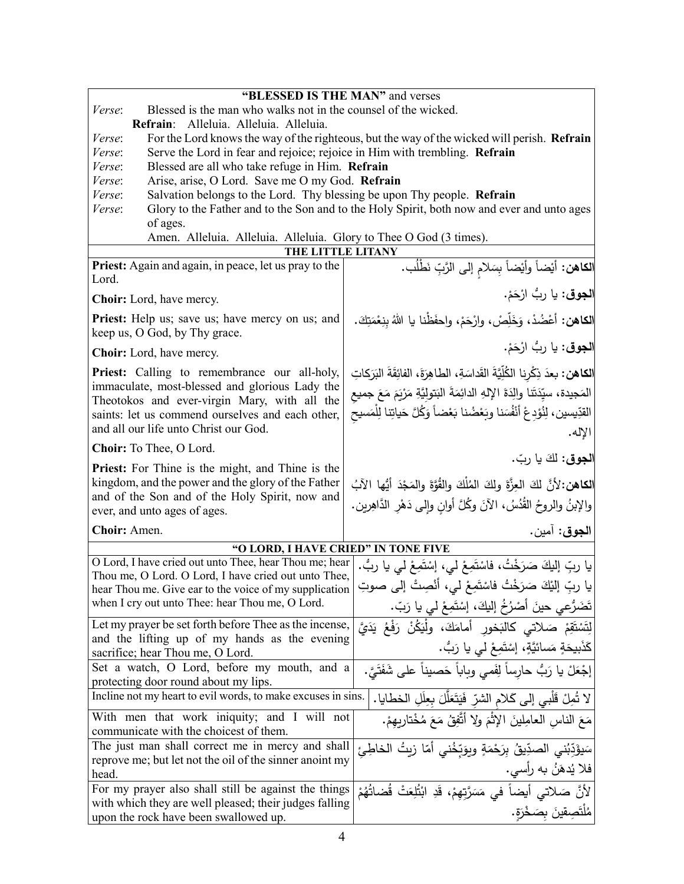| "BLESSED IS THE MAN" and verses                                                                                                                             |                                                                                                                                |  |
|-------------------------------------------------------------------------------------------------------------------------------------------------------------|--------------------------------------------------------------------------------------------------------------------------------|--|
| Blessed is the man who walks not in the counsel of the wicked.<br>Verse:                                                                                    |                                                                                                                                |  |
| Refrain: Alleluia. Alleluia. Alleluia.                                                                                                                      |                                                                                                                                |  |
| Verse:                                                                                                                                                      | For the Lord knows the way of the righteous, but the way of the wicked will perish. Refrain                                    |  |
| Serve the Lord in fear and rejoice; rejoice in Him with trembling. Refrain<br>Verse:                                                                        |                                                                                                                                |  |
| Blessed are all who take refuge in Him. Refrain<br>Verse:                                                                                                   |                                                                                                                                |  |
| Arise, arise, O Lord. Save me O my God. Refrain<br>Verse:                                                                                                   |                                                                                                                                |  |
| Salvation belongs to the Lord. Thy blessing be upon Thy people. Refrain<br>Verse:                                                                           |                                                                                                                                |  |
| Glory to the Father and to the Son and to the Holy Spirit, both now and ever and unto ages<br>Verse:                                                        |                                                                                                                                |  |
| of ages.                                                                                                                                                    |                                                                                                                                |  |
| Amen. Alleluia. Alleluia. Alleluia. Glory to Thee O God (3 times).                                                                                          |                                                                                                                                |  |
| THE LITTLE LITANY                                                                                                                                           |                                                                                                                                |  |
| <b>Priest:</b> Again and again, in peace, let us pray to the<br>Lord.                                                                                       | <b>الكاهن:</b> أيْضاً وأيْضاً بِسَلامِ إلى الرَّبِّ نَطْلُب.                                                                   |  |
|                                                                                                                                                             |                                                                                                                                |  |
| <b>Choir:</b> Lord, have mercy.                                                                                                                             | ا <b>لجوق</b> : يا ربُ ارْحَمْ.                                                                                                |  |
| <b>Priest:</b> Help us; save us; have mercy on us; and<br>keep us, O God, by Thy grace.                                                                     | الكاهن: أَعْضُدْ، وَخَلِّصْ، وارْحَمْ، واحفَظْنا يا اللهُ بِنِعْمَتِكَ.                                                        |  |
| <b>Choir:</b> Lord, have mercy.                                                                                                                             | ا <b>لجوق</b> : يا رِبُّ ارْحَمْ.                                                                                              |  |
| <b>Priest:</b> Calling to remembrance our all-holy,                                                                                                         | الكاهن: بعدَ ذِكْرِنا الكُلِّيَّةَ القَداسَةِ، الطاهِرَةَ، الفائِقَةَ البَرَكاتِ                                               |  |
| immaculate, most-blessed and glorious Lady the                                                                                                              | المَجيدة، سيِّدَتَنا والِدَةَ الإِلهِ الدائِمَةَ البَتولِيَّةِ مَرْيَمَ مَعَ جميع                                              |  |
| Theotokos and ever-virgin Mary, with all the                                                                                                                |                                                                                                                                |  |
| saints: let us commend ourselves and each other,                                                                                                            | القدِّيسين، لِنُؤدِعْ أَنْفُسَنا وبَعْضُنا بَعْضاً وَكُلَّ حَياتِنا لِلْمَسيح                                                  |  |
| and all our life unto Christ our God.                                                                                                                       | الإله.                                                                                                                         |  |
| Choir: To Thee, O Lord.                                                                                                                                     | الجوق: لكَ يا ربّ.                                                                                                             |  |
| <b>Priest:</b> For Thine is the might, and Thine is the                                                                                                     |                                                                                                                                |  |
| kingdom, and the power and the glory of the Father                                                                                                          | الكاهن:لأنَّ لكَ العِزَّةَ ولكَ المُلْكَ والقُوَّةَ والمَجْدَ أَيُّها الآبُ                                                    |  |
| and of the Son and of the Holy Spirit, now and                                                                                                              |                                                                                                                                |  |
| ever, and unto ages of ages.                                                                                                                                | والإبنُ والروحُ القُدُسُ، الآنَ وكُلَّ أوانِ وإلى دَهْرِ الدَّاهِرينِ.                                                         |  |
| Choir: Amen.                                                                                                                                                | ا <b>لجوق</b> : آمين.                                                                                                          |  |
| "O LORD, I HAVE CRIED" IN TONE FIVE                                                                                                                         |                                                                                                                                |  |
| O Lord, I have cried out unto Thee, hear Thou me; hear<br>يا ربِّ إليكَ صَرَخْتُ، فاسْتَمِعْ ليي، إِسْتَمِعْ لي يا ربُّ.                                    |                                                                                                                                |  |
| Thou me, O Lord. O Lord, I have cried out unto Thee,                                                                                                        |                                                                                                                                |  |
| hear Thou me. Give ear to the voice of my supplication                                                                                                      | يا ربِّ إليْكَ صَرَخْتُ فاسْتَمِعْ لي، أنْصِتْ إلى صوتِ                                                                        |  |
| when I cry out unto Thee: hear Thou me, O Lord.                                                                                                             |                                                                                                                                |  |
| Let my prayer be set forth before Thee as the incense,                                                                                                      | تَضَرُّعي حينَ أَصْرُخُ إليكَ، إسْتَمِعْ لي يا رَبِّ.<br>لِتَسْتَقِمْ  صَلاتي  كالبَخورِ  أمامَكَ،  ولْيَكُنْ  رَفْعُ  يَدَيَّ |  |
| and the lifting up of my hands as the evening                                                                                                               | كَذَبِيحَةٍ مَسائيَّةٍ، إِسْتَمِعْ لَي يا رَبُّ.                                                                               |  |
| sacrifice; hear Thou me, O Lord.                                                                                                                            |                                                                                                                                |  |
| Set a watch, O Lord, before my mouth, and a                                                                                                                 | إجْعَلْ يا رَبُّ حارساً لِفَمي وباباً حَصيناً على شَفَتَيٍّ.                                                                   |  |
| protecting door round about my lips.                                                                                                                        |                                                                                                                                |  |
| Incline not my heart to evil words, to make excuses in sins.<br>لا تُمِلْ قَلْبِي إِلَى كَلامِ الشّرِّ فَيَتَعَلّلَ بِعِلَلِ الخطايا.                       |                                                                                                                                |  |
| With men that work iniquity; and I will not<br>مَعَ الناس العامِلِينَ الإِثْمَ ولا أَتَّفِقُ مَعَ مُخْتارِبِهِمْ.<br>communicate with the choicest of them. |                                                                                                                                |  |
| The just man shall correct me in mercy and shall<br>سَيؤَدِّبُني الصدِّيقُ بِرَحْمَةٍ ويوَبِّخُني أَمّا زيتُ الخاطِئ                                        |                                                                                                                                |  |
| reprove me; but let not the oil of the sinner anoint my                                                                                                     |                                                                                                                                |  |
| فلا يُدهَنُ به رأِسي.<br>head.                                                                                                                              |                                                                                                                                |  |
| For my prayer also shall still be against the things                                                                                                        | لأَنَّ صَلاتي أَيضاً في مَسَرَّتِهِمْ، قَدِ ابْتُلِعَتْ قُضاتُهُمْ                                                             |  |
| with which they are well pleased; their judges falling                                                                                                      |                                                                                                                                |  |
| upon the rock have been swallowed up.                                                                                                                       | مُلْتَصِقينَ بِصَخْرَةِ.                                                                                                       |  |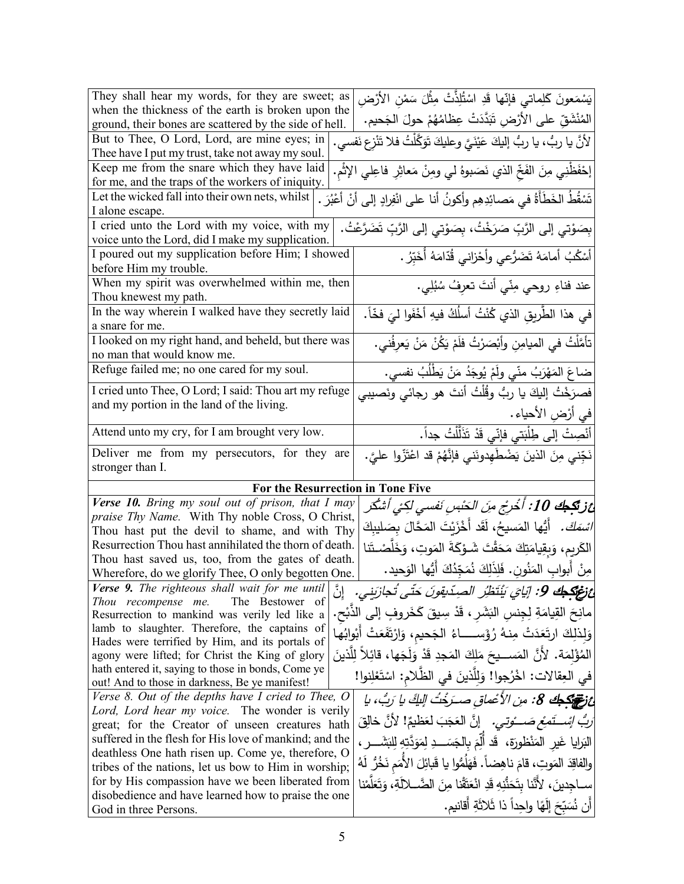| They shall hear my words, for they are sweet; as                                                                  | يَسْمَعونَ كَلِماتي فإنّها قَدِ اسْتُلِذَّتْ مِثْلَ سَمْنِ الأَرْضِ                                                                          |  |  |
|-------------------------------------------------------------------------------------------------------------------|----------------------------------------------------------------------------------------------------------------------------------------------|--|--|
| when the thickness of the earth is broken upon the                                                                | المُنْشَقِّ على الأَرْضِ تَبَدَّدَتْ عِظَامُهُمْ حولَ الجَحيم.                                                                               |  |  |
| ground, their bones are scattered by the side of hell.                                                            |                                                                                                                                              |  |  |
| But to Thee, O Lord, Lord, are mine eyes; in<br>Thee have I put my trust, take not away my soul.                  | لأنَّ يا ربُّ، يا ربُّ إليكَ عَيْنَيَّ وعليكَ تَوَكَّلْتُ فلا تَنْزِع نَفسي.                                                                 |  |  |
| Keep me from the snare which they have laid                                                                       |                                                                                                                                              |  |  |
| for me, and the traps of the workers of iniquity.                                                                 | إِحْفَظَٰنِي مِنَ الفَخِّ الذي نَصَبوهُ لي ومِنْ مَعاثِرِ فاعِلي الإِثْمِ.                                                                   |  |  |
| Let the wicked fall into their own nets, whilst                                                                   | تَسْقُطُ الخَطَأَةْ في مَصائِدِهِم وأكونُ أنا على انْفِرادٍ إلى أنْ أَعْبُرَ .                                                               |  |  |
| I alone escape.                                                                                                   |                                                                                                                                              |  |  |
| I cried unto the Lord with my voice, with my                                                                      | بِصَوْتِي إِلَى الرَّبِّ صَرَخْتُ، بِصَوْتِي إِلَى الرَّبِّ تَضَرَّعْتُ.                                                                     |  |  |
| voice unto the Lord, did I make my supplication.                                                                  |                                                                                                                                              |  |  |
| I poured out my supplication before Him; I showed                                                                 | أَسْكُبُ أَمامَهُ تَضَرُّعي وأَحْزاني قُدّامَهُ أَخَبِّرُ .                                                                                  |  |  |
| before Him my trouble.<br>When my spirit was overwhelmed within me, then                                          |                                                                                                                                              |  |  |
| Thou knewest my path.                                                                                             | عند فناءِ روحي مِنّي أنتَ تعرِفُ سُبُلِي.                                                                                                    |  |  |
| In the way wherein I walked have they secretly laid                                                               |                                                                                                                                              |  |  |
| a snare for me.                                                                                                   | في هذا الطّريقِ الذي كُنْتُ أسلُكُ فيهِ أخْفَوا ليَ فخّاً.                                                                                   |  |  |
| I looked on my right hand, and beheld, but there was                                                              | تأمَّلْتُ في الميامِنِ وأَبْصَرْتُ فلَمْ يَكُنْ مَنْ يَعرِفُني.                                                                              |  |  |
| no man that would know me.                                                                                        |                                                                                                                                              |  |  |
| Refuge failed me; no one cared for my soul.                                                                       | ضاعَ المَهْرَبُ منّي ولَمْ يُوجَدُ مَنْ يَطْلُبُ نفسي.                                                                                       |  |  |
| I cried unto Thee, O Lord; I said: Thou art my refuge                                                             |                                                                                                                                              |  |  |
| and my portion in the land of the living.                                                                         | في أرْضِ الأحياء .                                                                                                                           |  |  |
| Attend unto my cry, for I am brought very low.                                                                    | أَنْصِتْ إِلَى طِلْبَتي فإنّي قَدْ تَذَلَّلْتُ جداً.                                                                                         |  |  |
| Deliver me from my persecutors, for they are                                                                      | نَجِّني مِنَ الذينَ يَضْطَهِدونَني فإنَّهُمْ قد اعْتَزُّوا عليَّ.                                                                            |  |  |
| stronger than I.                                                                                                  |                                                                                                                                              |  |  |
|                                                                                                                   | For the Resurrection in Tone Five                                                                                                            |  |  |
|                                                                                                                   |                                                                                                                                              |  |  |
| Verse 10. Bring my soul out of prison, that I may                                                                 |                                                                                                                                              |  |  |
| praise Thy Name. With Thy noble Cross, O Christ,                                                                  | أغز تكبك 10: أخْرجْ مِنَ الْحَبْسِ نَفْسي لَكِنْي أَشْكُرَ                                                                                   |  |  |
| Thou hast put the devil to shame, and with Thy                                                                    | <i>اسْمَكَ.</i> أَيُّها المَسيحُ، لَقَد أَخْزَيْتَ المَحَّالَ بِصَليبِكَ                                                                     |  |  |
| Resurrection Thou hast annihilated the thorn of death.                                                            | الكَريم، وَبِقِيامَتِكَ مَحَقْتَ شَـوْكَةَ المَوتِ، وَخَلَّصْـتَنا                                                                           |  |  |
| Thou hast saved us, too, from the gates of death.                                                                 |                                                                                                                                              |  |  |
| Wherefore, do we glorify Thee, O only begotten One.                                                               | مِنْ أَبوابِ المَنُونِ. فَلِذَلِكَ نُمَجِّدُكَ أَيُّها الوَحيد.                                                                              |  |  |
| <b>Verse 9.</b> The righteous shall wait for me until $\beta$ .<br>إِنّ<br>The Bestower of<br>Thou recompense me. | الْتَحْتَكِطِكَ 9: إِيَايَ يَنْتَظِرُ الصِدَيقِونَ حَتَى تَجازَينِي.                                                                         |  |  |
| Resurrection to mankind was verily led like a                                                                     | مانِحَ الْقِيَامَةِ لِجِنسِ الْبَشَرِ ، قَدْ سِيقَ كَخَرِوفٍ إِلَى الذَّبْحِ.                                                                |  |  |
| lamb to slaughter. Therefore, the captains of                                                                     | وَلِذَلِكَ ارتَعَدَتْ مِنهُ رُؤَسَــــاءُ الْجَحيمِ، وَارْتَفَعَتْ أَبْوابُها                                                                |  |  |
| Hades were terrified by Him, and its portals of                                                                   |                                                                                                                                              |  |  |
| agony were lifted; for Christ the King of glory<br>hath entered it, saying to those in bonds, Come ye             | المُؤْلِمَة. لأنَّ المَســـيحَ مَلِكَ المَجدِ قَدْ وَلِجَها، قائِلا لِلذينَ                                                                  |  |  |
| out! And to those in darkness, Be ye manifest!                                                                    | في العِقالات: اخْرُجوا! وَلِلَّذِينَ في الظَّلام: اسْتَعْلِنوا!                                                                              |  |  |
| Verse 8. Out of the depths have I cried to Thee, O                                                                |                                                                                                                                              |  |  |
| Lord, Lord hear my voice. The wonder is verily                                                                    | عَزْ الله عَنْ اللهُ عَمَاقِ صدَرْخُتُ اللهِ فَ يا رَبُّ، يا                                                                                 |  |  |
| great; for the Creator of unseen creatures hath                                                                   | إِنَّ الْعَجَبَ لَعَظَيمٌ! لِأَنَّ خَالِقَ<br>رِبَّ إِسْسَتَمِعْ صَسْوَتِي.                                                                  |  |  |
| suffered in the flesh for His love of mankind; and the                                                            | البَرايا غَيرِ المَنْظورَةِ، ۚ قَد أَلَّمَ بِالْجَسَـــ<br>دِ لْمَوَدَّتِهِ لْلْبَشِّـــْرِ ،                                                |  |  |
| deathless One hath risen up. Come ye, therefore, O                                                                | والفاقِدَ المَوتِ، قامَ ناهِضاً. فَهَلَمُّوا يا قَبائِلَ الأُمَمِ نَخُرُّ لَهُ                                                               |  |  |
| tribes of the nations, let us bow to Him in worship;<br>for by His compassion have we been liberated from         |                                                                                                                                              |  |  |
| disobedience and have learned how to praise the one<br>God in three Persons.                                      | ســاجدينَ، لأَنَّنا بتَحَنَّنِهِ قَدِ انْعَتَّقْنا مِنَ الضَّــلاَّلَةِ، وَتَعَلَّمْنا<br>أَن نُسَبِّحَ إِلَهًا ولِحِداً ذا ثَلاثَةِ أقانيم. |  |  |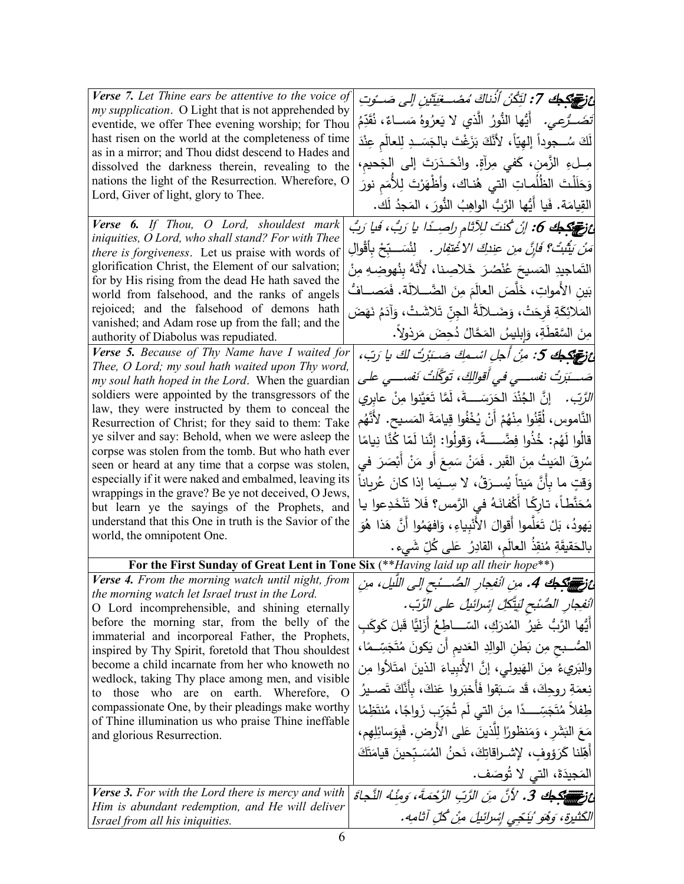| Verse 7. Let Thine ears be attentive to the voice of                                                     | ئ في 1: 1 1 بَيْكُنْ أَذْناكَ مُصْــغِيَتْين إلى صَــُوتِ                                            |
|----------------------------------------------------------------------------------------------------------|------------------------------------------------------------------------------------------------------|
| my supplication. O Light that is not apprehended by<br>eventide, we offer Thee evening worship; for Thou | تَضَــرُّعِـي. ۚ أَيُّها النُّورُ الَّذي لا يَعرُوهُ مَســاءٌ، نُقَدِّمُ                             |
| hast risen on the world at the completeness of time                                                      | لَكَ سُــجوداً إلهِيّاً، لأنَّكَ بَزَغْتَ بالجَسَــدِ لِلعالَمِ عِنْدَ                               |
| as in a mirror; and Thou didst descend to Hades and                                                      |                                                                                                      |
| dissolved the darkness therein, revealing to the                                                         | مِــلءِ الزَّمنِ، كَفي مِرآةٍ. وانْحَــدَرَتَ إلى الجَحيمِ،                                          |
| nations the light of the Resurrection. Wherefore, O<br>Lord, Giver of light, glory to Thee.              | وَحَلَلْتَ الظُلُماتِ التي هُنـاك، وأظْهَرْتَ لِلأَمَمِ نورَ                                         |
|                                                                                                          | القِيامَة. فَيا أَيُّها الرَّبُّ الواهِبُ النُّورَ ، المَجدُ لَك.                                    |
| Verse 6. If Thou, O Lord, shouldest mark                                                                 |                                                                                                      |
| iniquities, O Lord, who shall stand? For with Thee<br>there is forgiveness. Let us praise with words of  | <i>مَنْ يَثْبُتْ؟ فَإِنَّ مِن عِندِكَ الاغْتِفارِ .</i> لِنُسَــبِّحْ بِأَقُوالِ                     |
| glorification Christ, the Element of our salvation;                                                      | التَماجيدِ المَسيحَ عُنْصُرَ خَلاصِنا، لأنَّهُ بنُهوضِهِ مِنْ                                        |
| for by His rising from the dead He hath saved the                                                        | بَين الأمواتِ، خَلَّصَ العالَمَ مِنَ الضَّــلاَلَة. فَمَصـــافٌ                                      |
| world from falsehood, and the ranks of angels<br>rejoiced; and the falsehood of demons hath              |                                                                                                      |
| vanished; and Adam rose up from the fall; and the                                                        | المَلائِكَةِ فَرِحَتْ، وَضَــلاَلَةُ الْجِنّ تَلاشَـتْ، وَآدَمُ نَهَضَ                               |
| authority of Diabolus was repudiated.                                                                    | مِنَ السَّقطَةِ، وَإِبليسُ المَحَّالُ دُحِضَ مَرِذُولاً.                                             |
| Verse 5. Because of Thy Name have I waited for                                                           | ئ قلاب 3: مِنْ أجلِ اسْـمِكَ صَـبَرْتُ لِكَ يا رَبّ،                                                 |
| Thee, O Lord; my soul hath waited upon Thy word,<br>my soul hath hoped in the Lord. When the guardian    | صَـــبَرَتُ نفســـى فى أقوالكَ، تَوَكَّلُتُ نَفســـى علـى                                            |
| soldiers were appointed by the transgressors of the                                                      | <i>الرَّبِّ.</i> إنَّ الجُنْدَ الحَرَسَــــةَ، لَمَّا تَعَيَّنوا مِنْ عابري                          |
| law, they were instructed by them to conceal the<br>Resurrection of Christ; for they said to them: Take  | النَّاموس، لُقِّنُوا مِنْهُمْ أَنْ يُخْفُوا قِيامَةَ المَسيح. لأَنَّهُم                              |
| ye silver and say: Behold, when we were asleep the                                                       | قالُوا لَهُم: خُذُوا فِضَّــــةً، وَقولُوا: إِنَّنا لَمّا كُنَّا نِيامًا                             |
| corpse was stolen from the tomb. But who hath ever                                                       |                                                                                                      |
| seen or heard at any time that a corpse was stolen,                                                      | سُرِقَ المَيتُ مِنَ القَبرِ . فَمَنْ سَمِعَ أَو مَنْ أَبْصَرَ في                                     |
| especially if it were naked and embalmed, leaving its                                                    | وَقِتٍ ما بأنَّ مَيتاً يُسـرَقُ، لا سِــيَما إذا كانَ عُرياناً                                       |
| wrappings in the grave? Be ye not deceived, O Jews,<br>but learn ye the sayings of the Prophets, and     | مُحَنَّطٍاً، تارِكًا أَكْفانَهُ في الرَّمسِ؟ فَلا تَنْخَدِعوا يا                                     |
| understand that this One in truth is the Savior of the                                                   | يَهودُ، بَلْ تَعَلَّموا أَقوالَ الأَنْبِياءِ، وَافهَمُوا أَنَّ هَذا هُوَ                             |
| world, the omnipotent One.                                                                               | بالْحَقيقَةِ مُنقِذُ الْعالَمِ، القادِرُ  عَلَى كُلِّ شَيء.                                          |
| For the First Sunday of Great Lent in Tone Six (** Having laid up all their hope**)                      |                                                                                                      |
| Verse 4. From the morning watch until night, from                                                        |                                                                                                      |
| the morning watch let Israel trust in the Lord.                                                          | ع المن السلام بين الله عنه المستقل السلام الله عنه السلام من السلام من المسلم السلام السلام السلام ا |
| O Lord incomprehensible, and shining eternally                                                           | انْفِجار الصُّنْحِ لَبِتِّكَلِّ إِسْرائِيلُ على الرَّبِّ.                                            |
| before the morning star, from the belly of the<br>immaterial and incorporeal Father, the Prophets,       | أَيُّها الرَّبُّ غَيرُ المُدرَكِ، السّـــاطِعُ أَزَليًّا قَبلَ كَوكَب                                |
| inspired by Thy Spirit, foretold that Thou shouldest                                                     | الصُّــبح مِن بَطْنِ الوالِدِ العَديمِ أن يَكونَ مُتَجَسِّــمًا،                                     |
| become a child incarnate from her who knoweth no                                                         | والبَرِيءُ مِنَ الهَيولِي، إنَّ الأنبياءَ الذينَ امتَلأُوا مِن                                       |
| wedlock, taking Thy place among men, and visible<br>those who are on earth. Wherefore, O<br>to           | نِعمَةِ روحِكَ، قَد سَـبَقوا فَأَخبَروا عَنكَ، بأنَّكَ تَصــيرُ                                      |
| compassionate One, by their pleadings make worthy                                                        | طِفلاً مُتَجَسِّـــدًا مِنَ التي لَم تُجَرِّب زَواجًا، مُنتَظِمًا                                    |
| of Thine illumination us who praise Thine ineffable                                                      | مَعَ البَشَرِ ، وَمَنظورًا لِلَّذينَ عَلى الأَرضِ. فَبوَسائِلِهم،                                    |
| and glorious Resurrection.                                                                               |                                                                                                      |
|                                                                                                          | أَهِّلنا كَرَؤوفٍ، لإشــراقاتِكَ، نَحنُ الْمُسَــبّحينَ قيامَتَكَ                                    |
|                                                                                                          | المَجيدَةَ، التي لا تُوصَف.                                                                          |
| <b>Verse 3.</b> For with the Lord there is mercy and with                                                | عْ فَرَسَسَنَ فَصْلَا مِنْ الرَّبِّ الرَّحْمَةَ، وَمِنْهُ النَّجَاةَ                                 |
| Him is abundant redemption, and He will deliver                                                          | الْكَتْبِرَةِ، وَهُوَ نُيَنِّجِي إِسْرائِيلَ مِنْ كُلِّ آتَامِهِ.                                    |
| Israel from all his iniquities.                                                                          |                                                                                                      |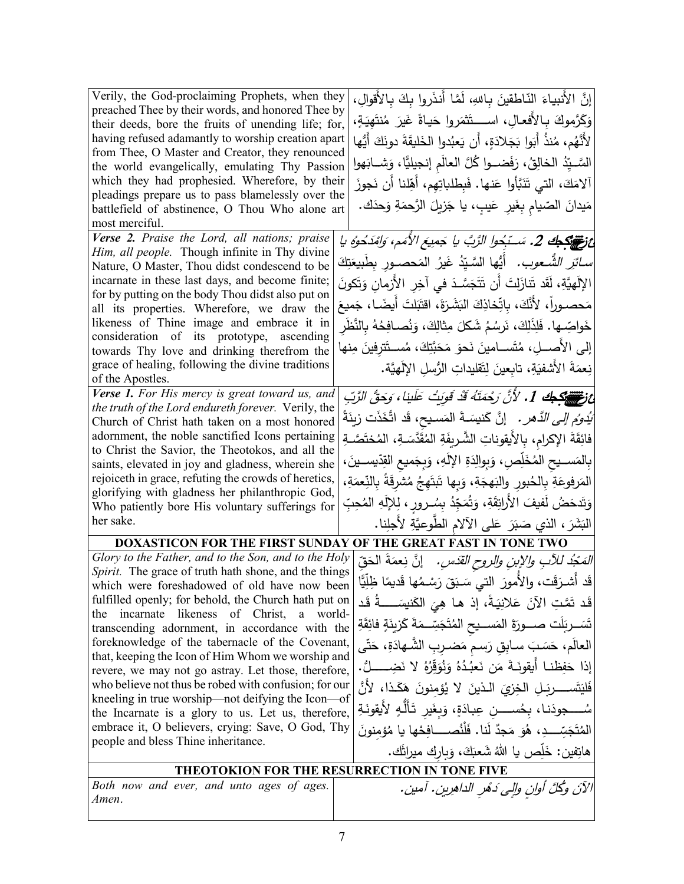| Verily, the God-proclaiming Prophets, when they<br>إِنَّ الأَنبياءَ النَّاطقينَ بـاللهِ، لَمَّا أَنذَروا بكَ بـالأَقوالِ،<br>preached Thee by their words, and honored Thee by |                                                                                      |  |
|--------------------------------------------------------------------------------------------------------------------------------------------------------------------------------|--------------------------------------------------------------------------------------|--|
| their deeds, bore the fruits of unending life; for,                                                                                                                            | وَكَرَّمُوكَ بِالأَفْعَالِ، اســـتَثْمَرُوا حَياةً غَيرَ مُنتَهِيَةٍ،                |  |
| having refused adamantly to worship creation apart                                                                                                                             |                                                                                      |  |
| from Thee, O Master and Creator, they renounced                                                                                                                                | لأَنَّهُم، مُنذُ أَبَوا بَجَلادَةٍ، أن يَعبُدوا الخَليقَةَ دونَكَ أَيُّها            |  |
| the world evangelically, emulating Thy Passion                                                                                                                                 | السَّــيِّدُ الخالِقُ، رَفَضـــوا كُلَّ الـعالَم إنـجيليًّا، وَشـــابَهوا            |  |
| which they had prophesied. Wherefore, by their                                                                                                                                 | آلامَكَ، التي تَنَبَّأُوا عَنها. فَبِطْلباتِهِم، أَهِّلنا أن نَجوزَ                  |  |
| pleadings prepare us to pass blamelessly over the                                                                                                                              |                                                                                      |  |
| battlefield of abstinence, O Thou Who alone art                                                                                                                                | مَيدانَ الصّيام بِغَيرِ عَيبٍ، يا جَزيلَ الرَّحمَةِ وَحدَك.                          |  |
| most merciful.                                                                                                                                                                 |                                                                                      |  |
| Verse 2. Praise the Lord, all nations; praise                                                                                                                                  | المَرْتَمَ الْمَحْجَمَةِ 2. سَـبَـُولِ الرَّبَّ يا جَمِيعَ الأَمَمِ، وَامْدَحُوهُ يا |  |
| Him, all people. Though infinite in Thy divine                                                                                                                                 |                                                                                      |  |
| Nature, O Master, Thou didst condescend to be                                                                                                                                  | <i>سـائرِ الشَّـعوب.</i> أيُّها السَّـيّذُ غَيرُ المَحصـور بِطَبيعَتِكَ              |  |
| incarnate in these last days, and become finite;                                                                                                                               | الإِلَهِيَّةِ، لَقَد تَنازَلتَ أَن تَتَجَسَّدَ في آخِرِ الأزمانِ وَتَكونَ            |  |
| for by putting on the body Thou didst also put on                                                                                                                              |                                                                                      |  |
| all its properties. Wherefore, we draw the                                                                                                                                     | مَحصـوراً، لأَنَّكَ، باتِّخاذِكَ البَشَرَةَ، اقتَبَلتَ أيضًـا، جَميعَ                |  |
| likeness of Thine image and embrace it in                                                                                                                                      | خَواصِّـها. فَلِأَلِكَ، نَرسُمُ شَكَلَ مِثالِكَ، وَنُصـافِحُهُ بِالنَّظَرِ           |  |
| consideration of its prototype, ascending                                                                                                                                      | إلى الأصــــلِ، مُتَســـامينَ نَحوَ مَحَبَّتِكَ، مُســتَترفينَ مِنها                 |  |
| towards Thy love and drinking therefrom the                                                                                                                                    |                                                                                      |  |
| grace of healing, following the divine traditions                                                                                                                              | نِعمَةَ الأَشفيَةِ، تابِعينَ لِتَقليداتِ الرُّسلِ الإِلَهيَّةِ.                      |  |
| of the Apostles.                                                                                                                                                               |                                                                                      |  |
| Verse 1. For His mercy is great toward us, and                                                                                                                                 | ئ في السَّفَاطِك 1. لأَنَّ رَحْمَتَهُ قَدْ قَوِيتْ عَلَينا ، وَحَقُّ الرَّبِّ        |  |
| the truth of the Lord endureth forever. Verily, the                                                                                                                            | َ <i>يُدوُم إلى الدَّهر .</i> إنَّ كَنيسَـةَ المَسـيح، قَد اتَّخَذَت زينَةً          |  |
| Church of Christ hath taken on a most honored                                                                                                                                  |                                                                                      |  |
| adornment, the noble sanctified Icons pertaining<br>to Christ the Savior, the Theotokos, and all the                                                                           | فائِقَةَ الإكرام، بِالأيقوناتِ الشَّرِيفَةِ المُقَدَّسَةِ، المُختَصَّـةِ             |  |
| saints, elevated in joy and gladness, wherein she                                                                                                                              | بِالمَســيح المُخَلِّصِ، وَبِوالِدَةِ الإِلَهِ، وَبِجَميعِ القِدِّيســينَ،           |  |
| rejoiceth in grace, refuting the crowds of heretics,                                                                                                                           |                                                                                      |  |
| glorifying with gladness her philanthropic God,                                                                                                                                | المَرفوعَةِ بِالْحُبورِ والبَهجَةِ، وَبِها تَبتَهِجُ مُشْرِقَةً بِالنِّعمَةِ،        |  |
| Who patiently bore His voluntary sufferings for                                                                                                                                | وَتَدحَضُ لَفيفَ الأَراتِقَةِ، وَثُمَجِّدُ بِسُــرورٍ ، لِلإِلَهِ المُحِبِّ          |  |
| her sake.                                                                                                                                                                      | الْبَشَرَ ، الذي صَبَرَ  عَلَى الآلام الطَّوعيَّةِ  لأجلِنا .                        |  |
| <b>DOXASTICON FOR THE FIRST SUNDAY OF</b>                                                                                                                                      | THE GREAT FAST IN TONE TWO                                                           |  |
| Glory to the Father, and to the Son, and to the Holy                                                                                                                           | <i>المَجْدُ للآبِ والإبنِ والروحِ القدَسِ.</i> إنَّ نِعمَةَ الحَقِّ                  |  |
| Spirit. The grace of truth hath shone, and the things                                                                                                                          |                                                                                      |  |
| which were foreshadowed of old have now been                                                                                                                                   | قَد أشـرَقَت، والأمورَ  التي سَـبَقَ رَسْـمُها قَديمًا ظِلِّيًّا                     |  |
| fulfilled openly; for behold, the Church hath put on                                                                                                                           | قَد تَمَّتِ الآنَ عَلانِيَةً، إذ ها هِيَ الكَنيسَـــةُ قَد                           |  |
| incarnate likeness of Christ, a world-<br>the                                                                                                                                  |                                                                                      |  |
| transcending adornment, in accordance with the                                                                                                                                 | تَسَــربَلَت صــــورَةَ المَســـيح المُتَجَسِّــمَةَ كَرْبِنَةٍ فائِقَةِ             |  |
| foreknowledge of the tabernacle of the Covenant,                                                                                                                               | العالَم، حَسَبَ سـابِق رَسم مَضـربِ الشَّـهادَةِ، حَتَّى                             |  |
| that, keeping the Icon of Him Whom we worship and<br>إِذَا حَفِظْنا أَيقُونَـةَ مَن نَعبُدُهُ وَنُوَقِّرُهُ لا نَضِـــــلٌ.                                                    |                                                                                      |  |
| revere, we may not go astray. Let those, therefore,                                                                                                                            |                                                                                      |  |
| who believe not thus be robed with confusion; for our                                                                                                                          | فَليَتَســــــربَــلِ الـخِزِيَ الــذينَ لا يُؤمنونَ هَكَــذا، لأنَّ                 |  |
| kneeling in true worship—not deifying the Icon—of<br>سُـــــجودَنـا، بِحُســــن عِبادَةٍ، وَبِغَير تَـأَلّـهِ لأَيقونَـةِ                                                      |                                                                                      |  |
| the Incarnate is a glory to us. Let us, therefore,<br>embrace it, O believers, crying: Save, O God, Thy                                                                        |                                                                                      |  |
| المُتَجَسِّــــدِ، هُوَ مَجِدٌ لَنا. فَلْنُصـــــافِحْها يا مُؤمنونَ<br>people and bless Thine inheritance.                                                                    |                                                                                      |  |
|                                                                                                                                                                                | هاتِفين: خَلِّص يا اللهُ شَعبَكَ، وَباركِ ميراثَك.                                   |  |
| THEOTOKION FOR THE RESURRECTION IN TONE FIVE                                                                                                                                   |                                                                                      |  |
| Both now and ever, and unto ages of ages.                                                                                                                                      | الآنَ وكُلَّ أُوانٍ وإلى دَهْرِ الداهرِينِ. آمينِ.                                   |  |
| Amen.                                                                                                                                                                          |                                                                                      |  |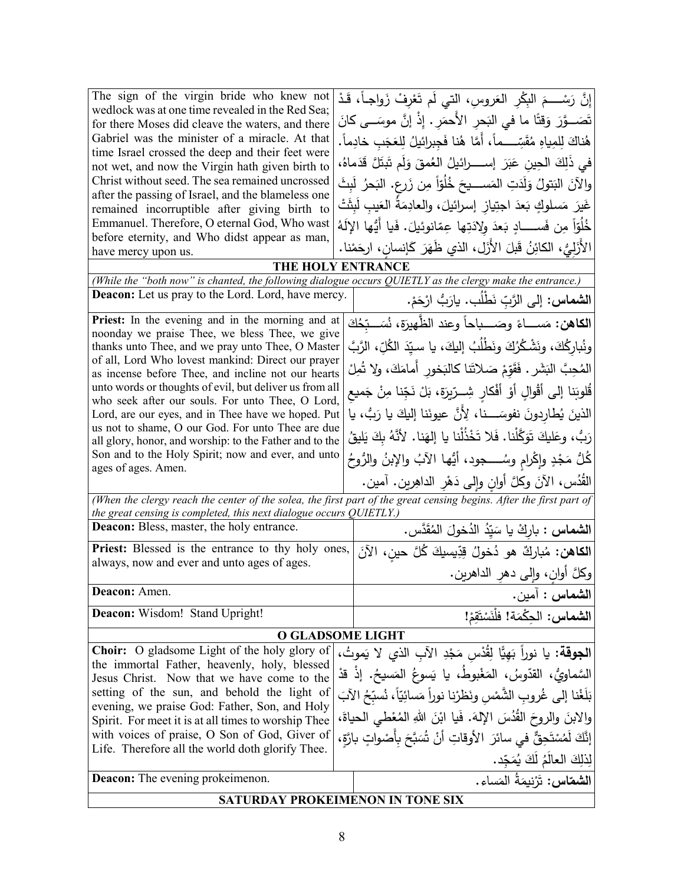| The sign of the virgin bride who knew not                                                                           | إِنَّ رَسْـــمَ البِكْرِ العَروسِ، التي لَم تَعْرِفْ زَواجـاً، قَـٰذ                                      |  |  |
|---------------------------------------------------------------------------------------------------------------------|-----------------------------------------------------------------------------------------------------------|--|--|
| wedlock was at one time revealed in the Red Sea;                                                                    | تَصَـــوَّرَ وَقتًا ما في البَحرِ الأحمَرِ . إِذْ إنَّ موسَـــى كانَ                                      |  |  |
| for there Moses did cleave the waters, and there<br>Gabriel was the minister of a miracle. At that                  |                                                                                                           |  |  |
| time Israel crossed the deep and their feet were                                                                    | هُناكَ لِلمِياهِ مُقَسِّــــماً، أَمَّا هُنا فَجِبرائيلُ لِلعَجَبِ خادِماً.                               |  |  |
| not wet, and now the Virgin hath given birth to                                                                     | في ذَلِكَ الْحِينِ عَبَرَ إِســــرائيلُ الْعُمقَ وَلَم تَبِتَلَّ قَدَماهُ،                                |  |  |
| Christ without seed. The sea remained uncrossed                                                                     | والآنَ البَتولُ وَلَدَتِ المَســــيحَ خُلُوّاً مِن زَرعٍ. البَحرُ لَبِثَ                                  |  |  |
| after the passing of Israel, and the blameless one                                                                  | غَيرَ مَسلوكٍ بَعدَ اجتِياز ۖ إسرائيلَ، والعادِمَةُ العَيبِ لَبِثَتْ                                      |  |  |
| remained incorruptible after giving birth to<br>Emmanuel. Therefore, O eternal God, Who wast                        |                                                                                                           |  |  |
| before eternity, and Who didst appear as man,                                                                       | خُلُوّاً مِن فَســـــادٍ بَعدَ وِلِادَتِها عِمّانوئيلَ. فَيا أَيُّها الإِلَهُ                             |  |  |
| have mercy upon us.                                                                                                 | الأَزَّلِيُّ، الكائِنُ قَبلَ الأَزِّلِ، الذي ظَهَرَ كَإِنسانِ، ارحَمْنا.                                  |  |  |
|                                                                                                                     | THE HOLY ENTRANCE                                                                                         |  |  |
|                                                                                                                     | (While the "both now" is chanted, the following dialogue occurs QUIETLY as the clergy make the entrance.) |  |  |
| <b>Deacon:</b> Let us pray to the Lord. Lord, have mercy.                                                           | ا <b>لشماس:</b> إلى الرَّبِّ نَطْلُبٍ. يارَبُّ ارْحَمْ.                                                   |  |  |
| Priest: In the evening and in the morning and at                                                                    | ا <b>لكاهن:</b> مَســـاءً وصَــــباحاً وعند الظّهيرَة، نُسَـــبّحُكَ                                      |  |  |
| noonday we praise Thee, we bless Thee, we give                                                                      |                                                                                                           |  |  |
| thanks unto Thee, and we pray unto Thee, O Master<br>of all, Lord Who lovest mankind: Direct our prayer             | ونُباركُكَ، ونَشْكُرُكَ ونَطْلُبُ إليكَ، يا سبِّدَ الكُلِّ، الرَّبَّ                                      |  |  |
| as incense before Thee, and incline not our hearts                                                                  | المُحِبَّ النِّشَرِ . فَقَوِّمْ صَلاتَنا كالنِّخورِ أمامَكَ، ولا تُمِلْ                                   |  |  |
| unto words or thoughts of evil, but deliver us from all                                                             | قُلوبَنا إلى أقْوالٍ أَوْ أَفْكارٍ شِــرّيرَةٍ، بَلْ نَجِّنا مِنْ جَميع                                   |  |  |
| who seek after our souls. For unto Thee, O Lord,<br>Lord, are our eyes, and in Thee have we hoped. Put              | الذينَ يُطارِدونَ نفوسَـــنا، لِأَنَّ عيونَنا إليكَ يا رَبُّ، يا                                          |  |  |
| us not to shame, O our God. For unto Thee are due                                                                   | رَبُّ، وعَليكَ تَوَكَّلْنا. فَلا تَخْذُلْنا يا إلهَنا. لأَنَّهُ بِكَ يَليقُ                               |  |  |
| all glory, honor, and worship: to the Father and to the                                                             |                                                                                                           |  |  |
| Son and to the Holy Spirit; now and ever, and unto<br>ages of ages. Amen.                                           | كُلٌ مَجْدٍ وإكْرام وسُـــــجود، أَيُّها الآبُ والإبنُ والرُّوحُ                                          |  |  |
|                                                                                                                     | الْقُدُسِ، الآنَ وكُلَّ أُوانٍ وإِلَى دَهْرِ الداهِرْيِنِ. آمينِ.                                         |  |  |
| (When the clergy reach the center of the solea, the first part of the great censing begins. After the first part of |                                                                                                           |  |  |
| the great censing is completed, this next dialogue occurs QUIETLY.)<br>Deacon: Bless, master, the holy entrance.    |                                                                                                           |  |  |
|                                                                                                                     | ا <b>لشماس :</b> باركْ يا سَيِّدُ الدُخولَ المُقَدَّس.                                                    |  |  |
| Priest: Blessed is the entrance to thy holy ones,<br>always, now and ever and unto ages of ages.                    | ا <b>لكاهن:</b> مُباركٌ هو دُخولُ قِدِّيسيكَ كُلَّ حين، الآنَ                                             |  |  |
|                                                                                                                     | وكلَّ أوانٍ، وإلى دهرِ الداهرينِ.                                                                         |  |  |
| <b>Deacon:</b> Amen.                                                                                                | ا <b>لشماس :</b> امين                                                                                     |  |  |
| Deacon: Wisdom! Stand Upright!                                                                                      | الشماس: الحكْمَة! فلْنَسْتَقرْ!                                                                           |  |  |
| O GLADSOME LIGHT                                                                                                    |                                                                                                           |  |  |
| Choir: O gladsome Light of the holy glory of                                                                        | ا <b>لجوقة:</b> يا نوراً بَهِيًّا لِقُدْسٍ مَجْدِ الآبِ الذي لا يَموتُ،                                   |  |  |
| the immortal Father, heavenly, holy, blessed                                                                        |                                                                                                           |  |  |
| Jesus Christ. Now that we have come to the                                                                          | السَّماويُّ، القدّوسُ، المَغْبوطُ، يا يَسوعُ المَسيحُ. إذْ قدْ                                            |  |  |
| setting of the sun, and behold the light of<br>evening, we praise God: Father, Son, and Holy                        | بَلَغْنا إلى غُروبِ الشَّمْسِ ونَظرْنا نوراً مَسائِيّاً، نُسبِّحُ الآبَ                                   |  |  |
| Spirit. For meet it is at all times to worship Thee                                                                 | والابنَ والروحَ القُدُسَ الإلهَ. فَيا ابْنَ اللهِ المُعْطى الحياةَ،                                       |  |  |
| with voices of praise, O Son of God, Giver of                                                                       | إِنَّكَ لَمُسْتَحِقٌّ في سائرَ  الأوقاتِ أنْ شُبَجَ بأَصْواتٍ بارَّةٍ،                                    |  |  |
| Life. Therefore all the world doth glorify Thee.                                                                    | لِذَلِكَ العالَمُ لَكَ يُمَجِّد.                                                                          |  |  |
| <b>Deacon:</b> The evening prokeimenon.                                                                             | ا <b>لشماس:</b> تَرْنيمَةُ المَساء.                                                                       |  |  |
|                                                                                                                     |                                                                                                           |  |  |
|                                                                                                                     | SATURDAY PROKEIMENON IN TONE SIX                                                                          |  |  |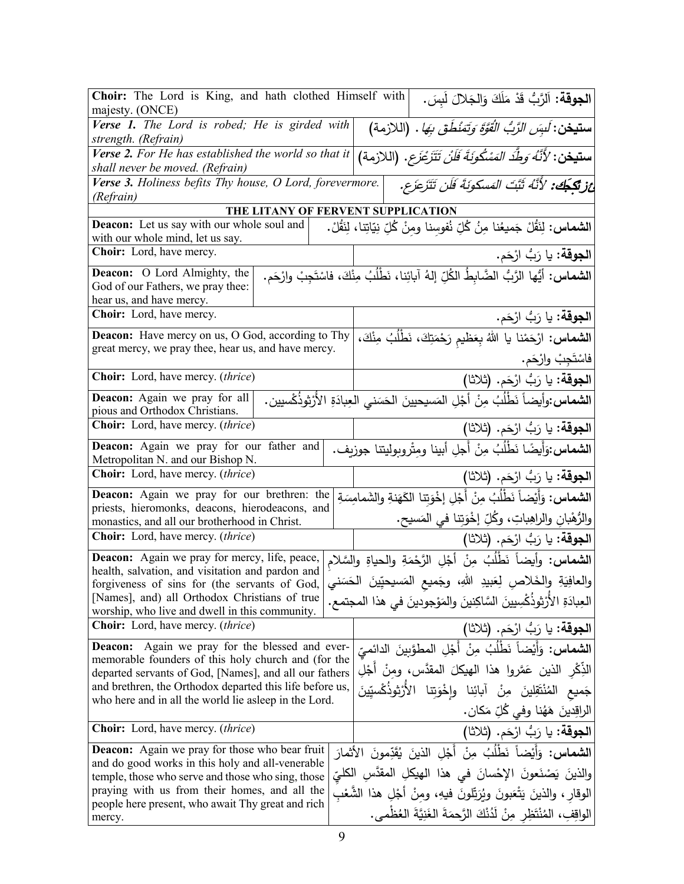| Choir: The Lord is King, and hath clothed Himself with<br>majesty. (ONCE)                              | الجوقة: اَلرَّبُّ قَدْ مَلَكَ وَالجَلالَ لَبِسَ.                                              |
|--------------------------------------------------------------------------------------------------------|-----------------------------------------------------------------------------------------------|
| Verse 1. The Lord is robed; He is girded with                                                          | س <b>تيخن:</b> <i>لَسِِّن الرَّبِّ القُوَّةَ وَتَمَنْطُقَ بِهَا</i> .  (اللازمة)              |
| strength. (Refrain)                                                                                    |                                                                                               |
| Verse 2. For He has established the world so that it<br>shall never be moved. (Refrain)                | <b>ستيخن:</b> <i>لأَنَّهُ وَطَّدَ المَسْكُونَةَ فَلَنْ تَتَزَعْزَع.</i> (اللازمة)             |
| Verse 3. Holiness befits Thy house, O Lord, forevermore.                                               | عْزِيْكِجُكْ: 'لِأَنَّهُ ثَبَّتَ المَسكونَةَ فَلَن تَتَزَعَزَع.                               |
| (Refrain)                                                                                              |                                                                                               |
|                                                                                                        | THE LITANY OF FERVENT SUPPLICATION                                                            |
| <b>Deacon:</b> Let us say with our whole soul and<br>with our whole mind, let us say.                  | <b>الشماس:</b> لِنَقُلْ جَميعُنا مِنُ كُلِّ نُفوسِنا ومِنْ كُلِّ نِيَاتِنا، لِنَقُلْ.         |
| Choir: Lord, have mercy.                                                                               | <b>الجوقة:</b> يا رَبُّ ارْحَم.                                                               |
| <b>Deacon:</b> O Lord Almighty, the                                                                    | الشماس: أيُّها الرَّبُّ الضَّابِطُ الكُلِّ إلهُ آبائِنا، نَطْلُبُ مِنْكَ، فاسْتَجِبْ وارْحَم. |
| God of our Fathers, we pray thee:                                                                      |                                                                                               |
| hear us, and have mercy.                                                                               |                                                                                               |
| Choir: Lord, have mercy.                                                                               | ا <b>لجوقة:</b> يا رَبُّ ارْحَم.                                                              |
| Deacon: Have mercy on us, O God, according to Thy                                                      | الشعاس: ارْحَمْنا يا اللهُ بِعَظيمِ رَحْمَتِكَ، نَطْلُبُ مِنْكَ،                              |
| great mercy, we pray thee, hear us, and have mercy.                                                    | فاسْتَجِبْ وارْحَم.<br>ا <b>لجوقة:</b> يا رَبُّ ارْحَم. (تْلاثا)                              |
| Choir: Lord, have mercy. (thrice)                                                                      |                                                                                               |
| Deacon: Again we pray for all                                                                          | ا <b>لشماس:</b> وأيضاً نَطْلُبُ مِنْ أَجْلِ المَسيحيينَ الحَسَني العِبادَةِ الأَرْثوذُكْسيين. |
| pious and Orthodox Christians.<br>Choir: Lord, have mercy. (thrice)                                    |                                                                                               |
|                                                                                                        | <b>الجوقة:</b> يا رَبُّ ارْحَم. (ثلاثا)                                                       |
| Deacon: Again we pray for our father and<br>Metropolitan N. and our Bishop N.                          | الشماس:وَأَيضَا نَطْلُبُ مِنْ أَجلِ أبينا ومِتْروبوليتنا جوزيف.                               |
| Choir: Lord, have mercy. (thrice)                                                                      | الجوقة: يا رَبُّ ارْحَم. (ثلاثا)                                                              |
| Deacon: Again we pray for our brethren: the                                                            | <b>الشماس:</b> وَأَيْضاً نَطْلُبُ مِنْ أَجْلِ إخْوَتِنا الكَهَنةِ والشَمامِسَةِ               |
| priests, hieromonks, deacons, hierodeacons, and<br>monastics, and all our brotherhood in Christ.       | والرُّهْبانِ والراهِباتِ، وكُلِّ إخْوَتِنا في المَسيح.                                        |
| Choir: Lord, have mercy. (thrice)                                                                      | ا <b>لجوقة:</b> يا رَبُّ ارْحَم. (ثلاثا)                                                      |
| <b>Deacon:</b> Again we pray for mercy, life, peace,                                                   | ال <b>شماس:</b> وأيضاً نَطْلُبُ مِنْ أَجْلِ الرَّحْمَةِ والحياةِ والسَّلام                    |
| health, salvation, and visitation and pardon and<br>forgiveness of sins for (the servants of God,      | والعافِيَةِ والخَلاصِ لِعَبيدِ اللهِ، وجَميعِ المَسيحيِّينَ الحَسَني                          |
| [Names], and) all Orthodox Christians of true                                                          | العِبادَةِ الأَرْثوذَكْسِينَ السَّاكِنينَ والمَوْجودينَ في هذا المجتمع.                       |
| worship, who live and dwell in this community.<br><b>Choir:</b> Lord, have mercy. <i>(thrice)</i>      |                                                                                               |
|                                                                                                        | ا <b>لجوقة:</b> يا رَبُّ ارْحَم. (ثلاثا)                                                      |
| Deacon: Again we pray for the blessed and ever-<br>memorable founders of this holy church and (for the | <b>الشماس:</b> وَأَيْضاً نَطْلُبُ مِنْ أَجْلِ المطوَّبِينَ الدائميِّ                          |
| departed servants of God, [Names], and all our fathers                                                 | الذِّكْرِ الذينِ عَمَّروا هذا الهيكلَ المقدَّسِ، ومنْ أَجْلِ                                  |
| and brethren, the Orthodox departed this life before us,                                               | جَميع المُنْتَقِلِينَ مِنْ آبائِنا وإِخْوَتِنا الأَرْثُوذَكْسيِّينَ                           |
| who here and in all the world lie asleep in the Lord.                                                  | الراقِدينَ هَهُنا وفي كُلِّ مَكان.                                                            |
| <b>Choir:</b> Lord, have mercy. <i>(thrice)</i>                                                        | ا <b>لجوقة:</b> يا رَبُّ ارْحَم. (ثلاثا)                                                      |
| <b>Deacon:</b> Again we pray for those who bear fruit                                                  | <b>الشماس:</b> وَأَيْضاً نَطْلُبُ مِنْ أَجْلِ الذينَ يُقَدِّمونَ الأَثمارَ                    |
| and do good works in this holy and all-venerable                                                       | والذينَ يَصْنَعونَ الإِحْسانَ في هذا الهيكلِ المقدَّسِ الكليِّ                                |
| temple, those who serve and those who sing, those<br>praying with us from their homes, and all the     |                                                                                               |
| people here present, who await Thy great and rich                                                      | الوقار ، والذينَ يَتْعَبونَ ويُرَتِّلونَ فيهِ، ومِنْ أَجْلِ هذا الشُّعْبِ                     |
| mercy.                                                                                                 | الواقِفِ، المُنْتَظِرِ مِنْ لَدُنْكَ الرَّحمَةَ الغَنِيَّةَ العُظْمي.                         |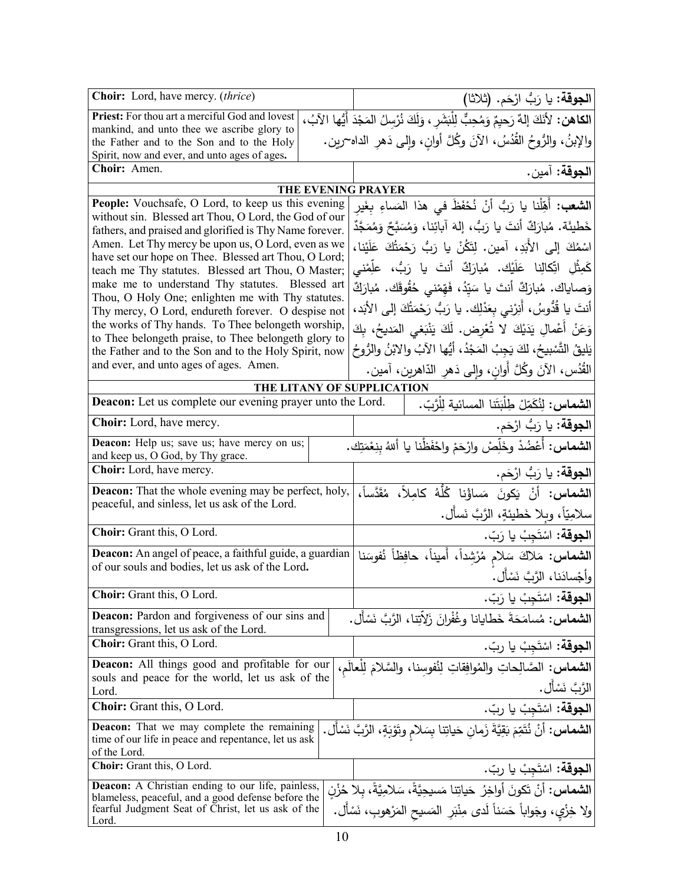| Choir: Lord, have mercy. (thrice)                                                                                         |                    | ا <b>لجوقة:</b> يا رَبُّ ارْحَم. (ثلاثا)                                                           |
|---------------------------------------------------------------------------------------------------------------------------|--------------------|----------------------------------------------------------------------------------------------------|
| Priest: For thou art a merciful God and lovest                                                                            |                    | ا <b>لكاهن:</b> لأَنَكَ إلهٌ رَحيمٌ وَمُحِبٌّ لِلْبَشَرِ ، وَلَكَ نُرْسِلُ المَجْدَ أَيُّها الآبُ، |
| mankind, and unto thee we ascribe glory to                                                                                |                    |                                                                                                    |
| the Father and to the Son and to the Holy                                                                                 |                    | والإبنُ، والزُوحُ القُدُسُ، الآنَ وكُلَّ أوانِ، وإلى دَهرِ الداه~رين.                              |
| Spirit, now and ever, and unto ages of ages.<br>Choir: Amen.                                                              |                    |                                                                                                    |
|                                                                                                                           |                    | ا <b>لجوقة:</b> آمين.                                                                              |
|                                                                                                                           | THE EVENING PRAYER |                                                                                                    |
| People: Vouchsafe, O Lord, to keep us this evening<br>without sin. Blessed art Thou, O Lord, the God of our               |                    | ا <b>لشعب:</b> أَهِّلْنا ياً رَبُّ أَنْ نُحْفَظَ في هذا المَساءِ بِغَيرِ                           |
| fathers, and praised and glorified is Thy Name forever.                                                                   |                    | خَطيئَة. مُبارَكٌ أنتَ يا رَبُّ، إلهَ آبائِنا، وَمُسَبَّحٌ وَمُمَجَّدٌ                             |
| Amen. Let Thy mercy be upon us, O Lord, even as we                                                                        |                    | اسْمُكَ إِلَى الأَبَدِ، آمين. لِتَكُنْ يا رَبُّ رَحْمَتُكَ عَلَيْنا،                               |
| have set our hope on Thee. Blessed art Thou, O Lord;                                                                      |                    |                                                                                                    |
| teach me Thy statutes. Blessed art Thou, O Master;                                                                        |                    | كَمِثْلِ اتِّكالِنا عَلَيْك. مُبارَكٌ أنتَ يا رَبُّ، علِّمْنـى                                     |
| make me to understand Thy statutes. Blessed art                                                                           |                    | وَصاياك. مُبارَكٌ أنتَ يا سَيِّدُ، فَهِّمْني حُقُوقَك. مُبارَكٌ                                    |
| Thou, O Holy One; enlighten me with Thy statutes.                                                                         |                    | أنتَ يا قُدُّوسُ، أَنِّرْني بِعَدْلِك. يا رَبُّ رَحْمَتُكَ إلى الأَبَد،                            |
| Thy mercy, O Lord, endureth forever. O despise not<br>the works of Thy hands. To Thee belongeth worship,                  |                    |                                                                                                    |
| to Thee belongeth praise, to Thee belongeth glory to                                                                      |                    | وَعَنْ أَعْمالِ يَدَيْكَ لا تُعْرِض. لَكَ يَنْبَغي المَديحُ، بِكَ                                  |
| the Father and to the Son and to the Holy Spirit, now                                                                     |                    | يَليقُ التَّسْبِيحُ، لكَ يَجِبُ المَجْدُ، أَيُّها الآبُ والابْنُ والرُّوحُ                         |
| and ever, and unto ages of ages. Amen.                                                                                    |                    | الْقُدُسِ، الآنَ وكُلَّ أُوانِ، وإلى دَهرِ الدَّاهريِنِ، آمينِ.                                    |
| THE LITANY OF SUPPLICATION                                                                                                |                    |                                                                                                    |
| Deacon: Let us complete our evening prayer unto the Lord.                                                                 |                    | ا <b>لشماس:</b> لِنُكَمِّلْ طِلْبَتَنا المسائية لِلْرَّبّ.                                         |
| Choir: Lord, have mercy.                                                                                                  |                    | ا <b>لجوقة:</b> يا رَبُّ ارْحَم.                                                                   |
| <b>Deacon:</b> Help us; save us; have mercy on us;<br>and keep us, O God, by Thy grace.                                   |                    | ا <b>لشماس:</b> أَعْضُدْ وخَلِّصْ وارْحَمْ واحْفَظْنا يا أللهُ بنِعْمَتِك.                         |
| Choir: Lord, have mercy.                                                                                                  |                    | ا <b>لجوقة:</b> يا رَبُّ ارْحَم.                                                                   |
| <b>Deacon:</b> That the whole evening may be perfect, holy,                                                               |                    | ا <b>لشماس:</b> أَنْ يَكُونَ مَساؤُنا كُلُّهُ كَامِلاً، مُقَدَّساً،                                |
| peaceful, and sinless, let us ask of the Lord.                                                                            |                    | سلامِيّاً، وبِلا خَطيئةٍ، الرَّبَّ نَسأَل.                                                         |
| Choir: Grant this, O Lord.                                                                                                |                    | ا <b>لجوقة:</b> اسْتَجِبْ يا رَبّ.                                                                 |
| Deacon: An angel of peace, a faithful guide, a guardian                                                                   |                    |                                                                                                    |
| of our souls and bodies, let us ask of the Lord.                                                                          |                    | ا <b>لشماس:</b> مَلاكَ سَلام مُرْشِداً، أُميناً، حافِظاً نُفوسَنا                                  |
|                                                                                                                           |                    | وأجْسادَنا، الرَّبَّ نَسْأَل.                                                                      |
| Choir: Grant this, O Lord.                                                                                                |                    | ا <b>لجوقة:</b> اسْتَجِبْ يا رَبّ.                                                                 |
| <b>Deacon:</b> Pardon and forgiveness of our sins and<br>transgressions, let us ask of the Lord.                          |                    | ا <b>لشماس:</b> مُسامَحَةَ خَطايانا وغُفْرانَ زَلاَتِتا، الرَّبَّ نَسْأَل.                         |
| Choir: Grant this, O Lord.                                                                                                |                    | ا <b>لجوقة:</b> اسْتَجِبْ يا ربّ.                                                                  |
| <b>Deacon:</b> All things good and profitable for our                                                                     |                    | الشماس: الصَّالِحاتِ والمُوافِقاتِ لِنُفوسنا، والسَّلامَ لِلْعالَمِ،                               |
| souls and peace for the world, let us ask of the                                                                          |                    |                                                                                                    |
| Lord.                                                                                                                     |                    | الرَّبَّ نَسْأَل.                                                                                  |
| Choir: Grant this, O Lord.                                                                                                |                    | ا <b>لجوقة:</b> اسْتَجِبْ يا ربّ.                                                                  |
| <b>Deacon:</b> That we may complete the remaining<br>time of our life in peace and repentance, let us ask<br>of the Lord. |                    | ا <b>لشماس:</b> أَنْ نُتَمِّمَ بَقِيَّةَ زَمانِ حَياتِنا بِسَلامِ وتَوْبَةٍ، الرَّبَّ نَسْأَل.     |
| Choir: Grant this, O Lord.                                                                                                |                    | ا <b>لجوقة:</b> اسْتَجِبْ يا ربّ.                                                                  |
| Deacon: A Christian ending to our life, painless,                                                                         |                    | ا <b>لشماس:</b> أنْ تَكونَ أواخِرُ حَياتِنا مَسيحِيَّةً، سَلامِيَّةً، بلا حُزْن                    |
| blameless, peaceful, and a good defense before the<br>fearful Judgment Seat of Christ, let us ask of the                  |                    | ولا خِزْيٍ، وجَواباً حَسَناً لَدى مِنْبَرِ المَسيحِ المَرْهوبِ، نَسْأَل.                           |
| Lord.                                                                                                                     |                    |                                                                                                    |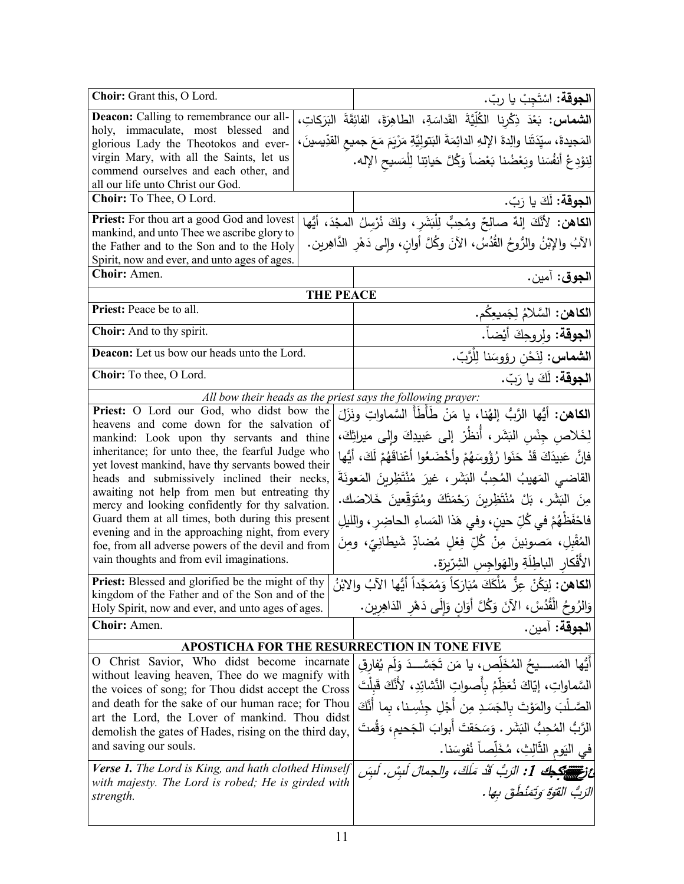| Choir: Grant this, O Lord.                                                                                       | ا <b>لجوقة:</b> اسْتَجِبْ يا ربّ.                                                              |  |
|------------------------------------------------------------------------------------------------------------------|------------------------------------------------------------------------------------------------|--|
| Deacon: Calling to remembrance our all-<br>holy, immaculate, most blessed and                                    | ا <b>لشماس:</b> بَعْدَ ذِكْرِنا الكُلِّيَّةَ القَداسَةِ، الطاهِرَةَ، الفائِقَةَ البَرَكاتِ،    |  |
| glorious Lady the Theotokos and ever-                                                                            | المَجيدةَ، سيِّدَتَنا والِدةَ الإلهِ الدائِمَةَ البَتولِيَّةِ مَرْيَمَ مَعَ جميعِ القدِّيسينَ، |  |
| virgin Mary, with all the Saints, let us                                                                         | لِنوْدِعْ أَنفُسَنا وبَعْضُنا بَعْضاً وَكُلَّ حَياتِنا لِلْمَسيحِ الإِله.                      |  |
| commend ourselves and each other, and<br>all our life unto Christ our God.                                       |                                                                                                |  |
| Choir: To Thee, O Lord.                                                                                          | ا <b>لجوقة:</b> لَكَ يا رَبّ.                                                                  |  |
| Priest: For thou art a good God and lovest                                                                       | ا <b>لكاهن:</b> لأَنَّكَ إلهٌ صالِحٌ ومُحِبٌّ لِلْبَشَرِ ، ولِكَ نُرْسِلُ المجْدَ، أيُّها      |  |
| mankind, and unto Thee we ascribe glory to                                                                       | الآبُ والإبْنُ والرُّوحُ القُدُسُ، الآنَ وكُلَّ أوانِ، وإلى دَهْرِ الدَّاهِرين.                |  |
| the Father and to the Son and to the Holy<br>Spirit, now and ever, and unto ages of ages.                        |                                                                                                |  |
| Choir: Amen.                                                                                                     | ا <b>لجوق</b> : آمين.                                                                          |  |
|                                                                                                                  | <b>THE PEACE</b>                                                                               |  |
| Priest: Peace be to all.                                                                                         | ا <b>لكاهن:</b> السَّلامُ لِجَميعِكُم.                                                         |  |
| Choir: And to thy spirit.                                                                                        | ا <b>لجوقة:</b> ولروجِكَ أَيْضاً.                                                              |  |
| Deacon: Let us bow our heads unto the Lord.                                                                      | ا <b>لشماس:</b> لِنَحْن رؤوسَنا لِلْرَّبّ.                                                     |  |
| Choir: To thee, O Lord.                                                                                          | ا <b>لجوقة:</b> لَكَ يا رَبّ.                                                                  |  |
|                                                                                                                  | All bow their heads as the priest says the following prayer:                                   |  |
| Priest: O Lord our God, who didst bow the                                                                        | ا <b>لكاهن:</b> أيُّها الرَّبُّ إلهُنا، يا مَنْ طَأَطَأَ السَّماواتِ ونَزَلَ                   |  |
| heavens and come down for the salvation of<br>mankind: Look upon thy servants and thine                          | لِخَلاص جِنْس البَشَر ، أَنظُرْ إلى عَبيدِكَ وإلى ميراثِكَ،                                    |  |
| inheritance; for unto thee, the fearful Judge who                                                                | فإنَّ عَبِيدَكَ قَدْ حَنَوا رُؤُوسَهُمْ وأَخْضَعُوا أَعْناقَهُمْ لَكَ، أَيُّها                 |  |
| yet lovest mankind, have thy servants bowed their                                                                |                                                                                                |  |
| heads and submissively inclined their necks,<br>awaiting not help from men but entreating thy                    | القاضي المَهيبُ المُحِبُّ البَشَرِ ، غيرَ مُنْتَظِرِينَ المَعونَةَ                             |  |
| mercy and looking confidently for thy salvation.                                                                 | مِنَ البَشَرِ ، بَلْ مُنْتَظِرِينَ رَحْمَتَكَ ومُتَوَقِّعِينَ خَلاصَك.                         |  |
| Guard them at all times, both during this present                                                                | فاحْفَظْهُمْ في كُلِّ حين، وفي هَذا المَساءِ الحاضِر ، والليلِ                                 |  |
| evening and in the approaching night, from every<br>foe, from all adverse powers of the devil and from           | المُقْبِلِ، مَصونينَ مِنْ كُلِّ فِعْلِ مُضادِّ شَيطانِيّ، ومنَ                                 |  |
| vain thoughts and from evil imaginations.                                                                        | الأفْكار الباطِلَةِ والهَواجِس الشِرّيرَةِ.                                                    |  |
| <b>Priest:</b> Blessed and glorified be the might of thy                                                         | ا <b>لكاهن:</b> لِيَكُنْ عِزُّ مُلْكَكَ مُبَارَكاً وَمُمَجَّداً أيُّها الآبُ والابْنُ          |  |
| kingdom of the Father and of the Son and of the<br>Holy Spirit, now and ever, and unto ages of ages.             | وَالزُوحُ الْقُدُسْ، الآنَ وَكُلَّ أَوَانٍ وَإِلَى دَهْرِ الدَاهِرِينِ.                        |  |
| Choir: Amen.                                                                                                     | ا <b>لجوقة:</b> آمين.                                                                          |  |
| APOSTICHA FOR THE RESURRECTION IN TONE FIVE                                                                      |                                                                                                |  |
| O Christ Savior, Who didst become incarnate                                                                      | أَيُّها المَســـــيحُ المُخَلِّص، يا مَن تَجَسَّـــدَ وَلَم يُفارِقِ                           |  |
| without leaving heaven, Thee do we magnify with                                                                  | السَّماواتِ، إيّاكَ نُعَظِّمُ بِأَصواتِ النَّشائِدِ، لأَنَّكَ قَبِلْتَ                         |  |
| the voices of song; for Thou didst accept the Cross<br>and death for the sake of our human race; for Thou        |                                                                                                |  |
| art the Lord, the Lover of mankind. Thou didst                                                                   | الصَّـلْبَ والمَوْتَ بالْجَسَـدِ مِن أَجْلِ جِنْسِـنا، بما أَنَّكَ                             |  |
| demolish the gates of Hades, rising on the third day,                                                            | الرَّبُّ المُحِبُّ البَشَرِ . وَسَحَقتَ أبوابَ الْجَحيم، وَقُمتَ                               |  |
| and saving our souls.                                                                                            | في اليَومِ الثَّالِثِ، مُخَلِّصاً نُفوسَنا.                                                    |  |
| <b>Verse 1.</b> The Lord is King, and hath clothed Himself<br>with majesty. The Lord is robed; He is girded with | يْنَ مِنْ مِنْ 1: الرَبُّ قَدْ مَلَكَ، والحمالَ لَبِسْ. لَبِسَ                                 |  |
| strength.                                                                                                        | الرَبُ القَوْةَ وَتَمْنَطُقَ بِها .                                                            |  |
|                                                                                                                  |                                                                                                |  |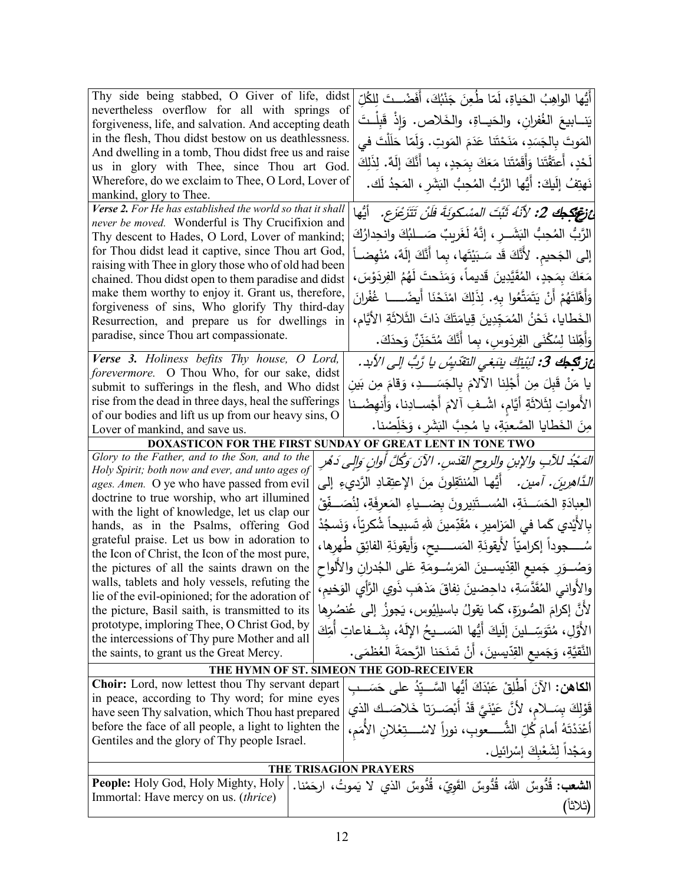| Thy side being stabbed, O Giver of life, didst                                                                                          | أَيُّها الواهِبُ الحَياةِ، لَمّا طُعِنَ جَنْبُكَ، أَفَضْــتَ لِلكُلِّ               |  |
|-----------------------------------------------------------------------------------------------------------------------------------------|-------------------------------------------------------------------------------------|--|
| nevertheless overflow for all with springs of                                                                                           | يَنـــابيعَ الغُفران، والحَيـــاةِ، والخَلاص. وَإِذْ قَبِلْـتَ                      |  |
| forgiveness, life, and salvation. And accepting death                                                                                   |                                                                                     |  |
| in the flesh, Thou didst bestow on us deathlessness.<br>And dwelling in a tomb, Thou didst free us and raise                            | المَوتَ بِالجَسَدِ، مَنَحْتَنا عَدَمَ المَوتِ. وَلَمّا حَلَلْتَ في                  |  |
| us in glory with Thee, since Thou art God.                                                                                              | لَحْدٍ، أَعتَقْتَنا وَأَقَمْتَنا مَعَكَ بِمَجدٍ، بِما أَنَّكَ إِلَهٌ. لِذَلِكَ      |  |
| Wherefore, do we exclaim to Thee, O Lord, Lover of                                                                                      | نَهتِفُ إِلَيكَ: أَيُّها الرَّبُّ المُحِبُّ البَشَرِ ، المَجدُ لَك.                 |  |
| mankind, glory to Thee.                                                                                                                 |                                                                                     |  |
| Verse 2. For He has established the world so that it shall                                                                              | <i>غ ن</i> قِيَّكِك 2: لأَنْهُ ثَبَّتَ المسْكونَةَ فَلَنْ تَتَزَعْزَع. ۖ أَيُّها    |  |
| never be moved. Wonderful is Thy Crucifixion and                                                                                        | الرَّبُّ المُحِبُّ البَشَــرِ ، إنَّهُ لَغَرِيبٌ صَـــلَبُكَ وانحِدارُكَ            |  |
| Thy descent to Hades, O Lord, Lover of mankind;<br>for Thou didst lead it captive, since Thou art God,                                  |                                                                                     |  |
| raising with Thee in glory those who of old had been                                                                                    | إلى الجَحيم. لأَنَّكَ قَد سَبَيْتَها، بِما أَنَّكَ إِلَهٌ، مُنْهِضــاً              |  |
| chained. Thou didst open to them paradise and didst                                                                                     | مَعَكَ بِمَجِدٍ، المُقَيَّدِينَ قَديماً، وَمَذَحتَ لَهُمُ الفِرِدَوْسَ،             |  |
| make them worthy to enjoy it. Grant us, therefore,                                                                                      | وَأَهَّلْتَهُمْ أَنْ يَتَمَتَّعُوا بِهِ. لِذَلِكَ امْنَحْنَا أَيضَــــا غُفْرانَ    |  |
| forgiveness of sins, Who glorify Thy third-day                                                                                          | الخَطايا، نَحْنُ المُمَجِّدِينَ قِيامَتَكَ ذاتَ الثَّلاثَةِ الأَيَّامِ،             |  |
| Resurrection, and prepare us for dwellings in                                                                                           |                                                                                     |  |
| paradise, since Thou art compassionate.                                                                                                 | وَأَهِّلنا لِسُكْنَى الفِرِدَوسِ، بِما أَنَّكَ مُتَحَنِّنٌ وَحدَكَ.                 |  |
| Verse 3. Holiness befits Thy house, O Lord,                                                                                             | لْ رَبِّكِكُ 3: لَبِنْتِكَ بِنَبَغِي التَقَدِيِسُ يا رَّبُ إلى الأبد.               |  |
| forevermore. O Thou Who, for our sake, didst<br>submit to sufferings in the flesh, and Who didst                                        | يا مَنْ قَبِلَ مِن أَجْلِنا الآلامَ بِالْجَسَــــدِ، وَقَامَ مِن بَين               |  |
| rise from the dead in three days, heal the sufferings                                                                                   | الأمواتِ لِثَلاثَةِ أَيَّام، اشْـفِ آلامَ أَجْســادِنا، وَأُنهِضْــنا               |  |
| of our bodies and lift us up from our heavy sins, O                                                                                     |                                                                                     |  |
| Lover of mankind, and save us.                                                                                                          | مِنَ الخَطايا الصَّعبَةِ، يا مُحِبَّ البَشَرِ ، وَخَلِّصْنا.                        |  |
| DOXASTICON FOR THE FIRST SUNDAY OF GREAT LENT IN TONE TWO                                                                               |                                                                                     |  |
| Glory to the Father, and to the Son, and to the                                                                                         | الْمَجْدُ للآبِ والإبنِ والروحِ القَدْسِ. الآنَ وَكُلَّ أُوانِ وَالِي دَهْرِ        |  |
| Holy Spirit; both now and ever, and unto ages of                                                                                        | <i>الذَّاهِرِينَ. أمين.</i> أَيُّها المُنتَقِلُونَ مِنَ الإعتِقادِ الرَّديءِ إلى    |  |
| ages. Amen. O ye who have passed from evil<br>doctrine to true worship, who art illumined                                               |                                                                                     |  |
| العِبادَةِ الْحَسَــذَةِ، الْمُســتَنِيرونَ بِضـــياءِ الْمَعرفَةِ، لِنُصَــفِّقْ<br>with the light of knowledge, let us clap our       |                                                                                     |  |
| بِالأَيْديِ كَما في المَزاميرِ ، مُقَدِّمينَ للهِ تَسبيحاً شُكريّاً ، وَنَسجُدْ<br>hands, as in the Psalms, offering God                |                                                                                     |  |
| grateful praise. Let us bow in adoration to<br>سُـــــــجوداً إكراميّاً لأيقونَةِ المَســـــيح، وَأيقونَةِ الفائِقِ طَهرِها،            |                                                                                     |  |
| the Icon of Christ, the Icon of the most pure,<br>وَصُـــوَرِ جَميع القِدّيســينَ المَرسُـــومَةِ عَلـى الـجُدرانِ والألواح             |                                                                                     |  |
| the pictures of all the saints drawn on the<br>walls, tablets and holy vessels, refuting the                                            |                                                                                     |  |
| lie of the evil-opinioned; for the adoration of                                                                                         | والأوانى المُقَدَّسَةِ، داحِضينَ نِفاقَ مَذهَبِ ذَوِي الرَّأْيِ الوَخيمِ،           |  |
| the picture, Basil saith, is transmitted to its                                                                                         | لأنَّ إكرامَ الصُّورَةِ، كَما يَقولُ باسيلِيُوسِ، يَجوزُ إلى عُنصُرِها              |  |
| prototype, imploring Thee, O Christ God, by                                                                                             | الأَوَّلِ، مُتَوَسِّــلينَ إِلَيكَ أَيُّها المَســيحُ الإِلَهُ، بشَــفاعاتِ أَمِّكَ |  |
| the intercessions of Thy pure Mother and all<br>the saints, to grant us the Great Mercy.                                                | النَّقيَّةِ، وَجَميعِ القِدّيسينَ، أَنْ تَمنَحَنا الرَّحمَةَ العُظمَى.              |  |
| THE HYMN OF ST. SIMEON THE GOD-RECEIVER                                                                                                 |                                                                                     |  |
| Choir: Lord, now lettest thou Thy servant depart<br>ا <b>لكاهن:</b> الآنَ أَطْلِقْ عَبْدَكَ أَيُّها السَّــيّدُ على حَسَــبِ            |                                                                                     |  |
| in peace, according to Thy word; for mine eyes                                                                                          |                                                                                     |  |
| قَوْلِكَ بِسَــلامِ، لأَنَّ عَيْنَيَّ قَدْ أَبْصَــرَتا خَلاصَــك الذي<br>have seen Thy salvation, which Thou hast prepared             |                                                                                     |  |
| before the face of all people, a light to lighten the                                                                                   | أعْدَدْتَهُ أمامَ كُلِّ الشُّـــــعوبِ، نوراً لاسْــــتِعْلان الأُمَم،              |  |
| Gentiles and the glory of Thy people Israel.                                                                                            | ومَجْداً لِشَعْبِكَ إِسْرائيل.                                                      |  |
| THE TRISAGION PRAYERS                                                                                                                   |                                                                                     |  |
| <b>الشعب:</b> قُدُّوسٌ  اللهُ، قُدُّوسٌ  القَوِيّ، قُدُّوسٌ  الذي  لا  يَموتُ،  ارحَمْنا.<br><b>People:</b> Holy God, Holy Mighty, Holy |                                                                                     |  |
| Immortal: Have mercy on us. <i>(thrice)</i>                                                                                             |                                                                                     |  |
|                                                                                                                                         | (ثلاثاً)                                                                            |  |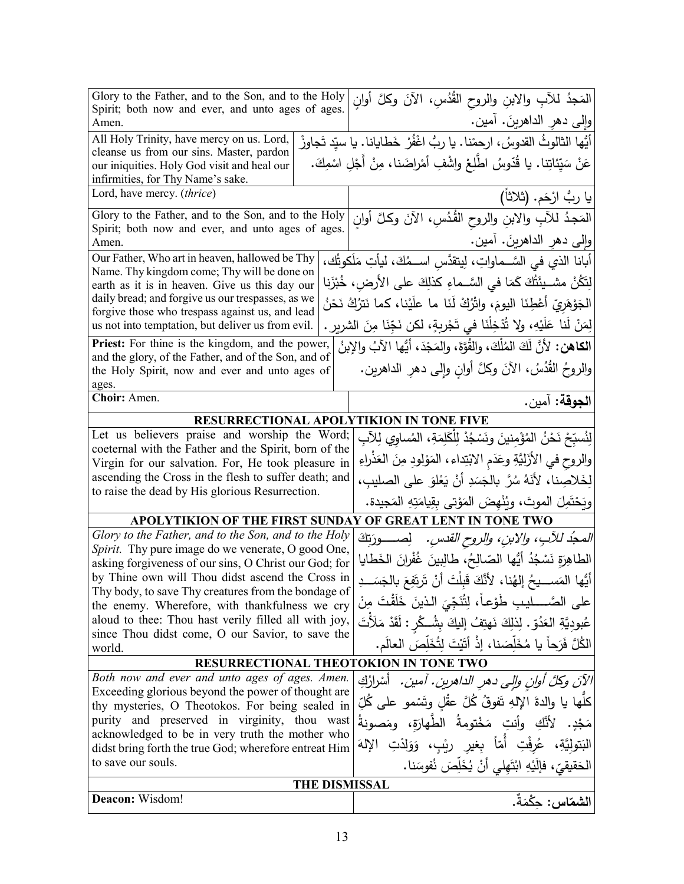| Glory to the Father, and to the Son, and to the Holy<br>Spirit; both now and ever, and unto ages of ages.               | المَجدُ للأَبِ والابنِ والروحِ القُدُسِ، الآنَ وكلَّ أوانِ                       |  |
|-------------------------------------------------------------------------------------------------------------------------|----------------------------------------------------------------------------------|--|
| Amen.                                                                                                                   | وإلى دهر الداهرينَ. آمين.                                                        |  |
| All Holy Trinity, have mercy on us. Lord,                                                                               | أيُّها الثالوثُ القدوسُ، ارحمْنا. يا ربُّ اغْفُرْ خَطايانا. يا سبِّد تَجاوزْ     |  |
| cleanse us from our sins. Master, pardon<br>عَنْ سَيِّئاتِنا. يا قُدّوسُ اطّلِعْ واشْفِ أمْراضَنا، مِنْ أَجْلِ اسْمِكَ. |                                                                                  |  |
| our iniquities. Holy God visit and heal our<br>infirmities, for Thy Name's sake.                                        |                                                                                  |  |
| Lord, have mercy. (thrice)                                                                                              | يا ربُّ ارْحَم. (ثلاثا)                                                          |  |
| Glory to the Father, and to the Son, and to the Holy                                                                    | المَجدُ للآبِ والابنِ والروح القُدُسِ، الآنَ وكلَّ أوانِ                         |  |
| Spirit; both now and ever, and unto ages of ages.<br>Amen.                                                              | وإلى دهرِ الداهرينَ. أمين.                                                       |  |
| Our Father, Who art in heaven, hallowed be Thy                                                                          | أبانا الذي في السَّــماواتِ، لِيتقدَّسِ اســمُكَ، ليأتِ مَلَكوتُك،               |  |
| Name. Thy kingdom come; Thy will be done on                                                                             | لِتَكُنْ مشــيئَتُكَ كَمَا فـى السَّــماءِ كذلِكَ علـى الأرض، خُبْزَنا           |  |
| earth as it is in heaven. Give us this day our<br>daily bread; and forgive us our trespasses, as we                     |                                                                                  |  |
| forgive those who trespass against us, and lead                                                                         | الْجَوْهَرِيّ أَعْطِنَا اليومَ، واتْرُكْ لَنَا ما علَيْنا، كما نَترُكُ نَحْنُ    |  |
| us not into temptation, but deliver us from evil.                                                                       | لِمَنْ لَنا عَلَيْهِ، ولا تُدْخِلْنَا في تَجْرِبِةٍ، لكن نَجِّنَا مِنَ الشريرِ . |  |
| Priest: For thine is the kingdom, and the power,                                                                        | ا <b>لكاهن:</b> لأنَّ لَكَ المُلْكَ، والقُوَّةَ، والمَجْدَ، أيُّها الآبُ والإبنُ |  |
| and the glory, of the Father, and of the Son, and of<br>the Holy Spirit, now and ever and unto ages of                  | والروحُ القُدُسُ، الآنَ وكلَّ أوانِ وإلى دهرِ الداهرين.                          |  |
| ages.                                                                                                                   |                                                                                  |  |
| Choir: Amen.                                                                                                            | ا <b>لجوقة:</b> آمين.                                                            |  |
| RESURRECTIONAL APOLYTIKION IN TONE FIVE                                                                                 |                                                                                  |  |
| Let us believers praise and worship the Word;                                                                           | لِنُسبِّحْ نَحْنُ المُؤْمِنينَ ونَسْجُدْ لِلْكَلِمَةِ، المُساوِي لِلآبِ          |  |
| coeternal with the Father and the Spirit, born of the                                                                   | والروح في الأَزَلِيَّةِ وعَدَم الابْتِداء ، المَوْلُودِ مِنَ العَذْراءِ          |  |
| Virgin for our salvation. For, He took pleasure in<br>ascending the Cross in the flesh to suffer death; and             | لِخَلاصِنا، لأَنَهُ سُرَّ بالجَسَدِ أَنْ يَعْلَوَ على الصليب،                    |  |
| to raise the dead by His glorious Resurrection.                                                                         |                                                                                  |  |
|                                                                                                                         | وِيَحْتَمِلَ الموتَ، ويُنْهِضَ المَوْتِي بِقِيامَتِهِ المَجِيدةِ.                |  |
| APOLYTIKION OF THE FIRST SUNDAY OF GREAT LENT IN TONE TWO                                                               |                                                                                  |  |
| Glory to the Father, and to the Son, and to the Holy<br>Spirit. Thy pure image do we venerate, O good One,              | الممجْد للآبِ، والابنِ، والروح القدسِ.    لِصــــورَبِّكَ                        |  |
| asking forgiveness of our sins, O Christ our God; for                                                                   | الطاهِرَة نَسْجُدُ أَيُّها الصّالِحُ، طالِبينَ غُفْرانَ الخَطايا                 |  |
| by Thine own will Thou didst ascend the Cross in                                                                        | أَيُّها المَســـيحُ إلهُنا، لأَنَّكَ قَبِلْتَ أَنْ تَرتَفِعَ بِالْجَسَـــدِ      |  |
| Thy body, to save Thy creatures from the bondage of<br>the enemy. Wherefore, with thankfulness we cry                   | على الصَّــــــــايب طَوْعــاً، لِتُنَجّىَ الـذينَ خَلَقْتَ مِنْ                 |  |
| aloud to thee: Thou hast verily filled all with joy,                                                                    | عُبودِيَّةِ العَدُوِّ . لِذلِكَ نَهتِفُ إِليكَ بِشُــكْرِ : لَقَدْ مَلَأَتَ      |  |
| since Thou didst come, O our Savior, to save the<br>world.                                                              | الكُلَّ فَرَحاً يا مُخَلِّصَنا، إذْ أَتَيْتَ لِتُخَلِّصَ العالَم.                |  |
| <b>RESURRECTIONAL THEOTOKION IN TONE TWO</b>                                                                            |                                                                                  |  |
| Both now and ever and unto ages of ages. Amen.                                                                          | الآنَ وكلَّ أوانِ وإلى دهرِ الداهرينِ. آمين.  أسْرارُكِ                          |  |
| Exceeding glorious beyond the power of thought are                                                                      |                                                                                  |  |
| thy mysteries, O Theotokos. For being sealed in                                                                         | كلُّها يا والدةَ اﻹلهِ تَفوقُ كُلَّ عقْلِ وتَسْمو على كُلِّ                      |  |
| purity and preserved in virginity, thou wast<br>acknowledged to be in very truth the mother who                         | لأَنَّكِ وأنتِ مَخْتومةَ                                                         |  |
| didst bring forth the true God; wherefore entreat Him                                                                   | أَمّاً بغير رئِبٍ، وَوَلِدْتِ<br>عُرفت<br>الإلة                                  |  |
| to save our souls.                                                                                                      | الْحَقيقيّ، فإلَيْهِ ابْتَهلي أَنْ يُخَلِّصَ نُفوسَنا.                           |  |
| <b>THE DISMISSAL</b>                                                                                                    |                                                                                  |  |
| Deacon: Wisdom!                                                                                                         | ال <b>شماس :</b> حكْمَةٌ.                                                        |  |